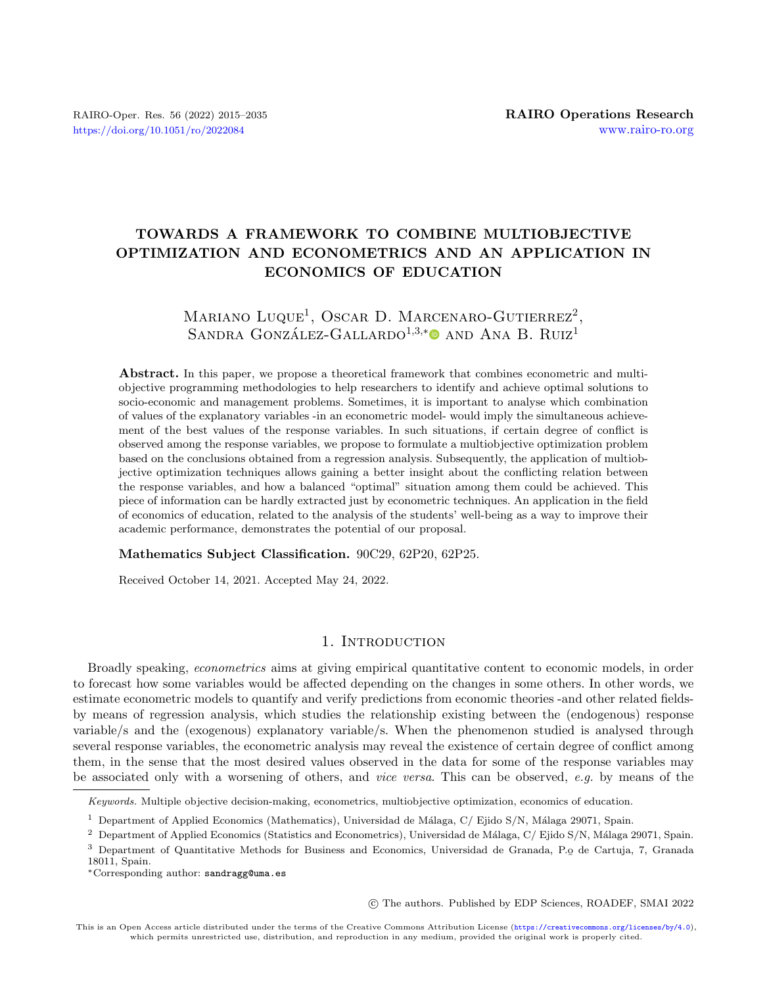## TOWARDS A FRAMEWORK TO COMBINE MULTIOBJECTIVE OPTIMIZATION AND ECONOMETRICS AND AN APPLICATION IN ECONOMICS OF EDUCATION

# MARIANO LUQUE<sup>1</sup>, OSCAR D. MARCENARO-GUTIERREZ<sup>2</sup>, SANDRA GONZÁLEZ-GALLARDO<sup>1,3,[\\*](https://orcid.org/0000-0003-2511-5616)</sup><sup>0</sup> AND ANA B. RUIZ<sup>1</sup>

Abstract. In this paper, we propose a theoretical framework that combines econometric and multiobjective programming methodologies to help researchers to identify and achieve optimal solutions to socio-economic and management problems. Sometimes, it is important to analyse which combination of values of the explanatory variables -in an econometric model- would imply the simultaneous achievement of the best values of the response variables. In such situations, if certain degree of conflict is observed among the response variables, we propose to formulate a multiobjective optimization problem based on the conclusions obtained from a regression analysis. Subsequently, the application of multiobjective optimization techniques allows gaining a better insight about the conflicting relation between the response variables, and how a balanced "optimal" situation among them could be achieved. This piece of information can be hardly extracted just by econometric techniques. An application in the field of economics of education, related to the analysis of the students' well-being as a way to improve their academic performance, demonstrates the potential of our proposal.

Mathematics Subject Classification. 90C29, 62P20, 62P25.

Received October 14, 2021. Accepted May 24, 2022.

## 1. INTRODUCTION

Broadly speaking, econometrics aims at giving empirical quantitative content to economic models, in order to forecast how some variables would be affected depending on the changes in some others. In other words, we estimate econometric models to quantify and verify predictions from economic theories -and other related fieldsby means of regression analysis, which studies the relationship existing between the (endogenous) response variable/s and the (exogenous) explanatory variable/s. When the phenomenon studied is analysed through several response variables, the econometric analysis may reveal the existence of certain degree of conflict among them, in the sense that the most desired values observed in the data for some of the response variables may be associated only with a worsening of others, and vice versa. This can be observed, e.g. by means of the

○c The authors. Published by EDP Sciences, ROADEF, SMAI 2022

Keywords. Multiple objective decision-making, econometrics, multiobjective optimization, economics of education.

<sup>&</sup>lt;sup>1</sup> Department of Applied Economics (Mathematics), Universidad de Málaga, C/ Ejido S/N, Málaga 29071, Spain.

<sup>&</sup>lt;sup>2</sup> Department of Applied Economics (Statistics and Econometrics), Universidad de Málaga, C/ Ejido S/N, Málaga 29071, Spain.

<sup>&</sup>lt;sup>3</sup> Department of Quantitative Methods for Business and Economics, Universidad de Granada, P.<u>o</u> de Cartuja, 7, Granada<br>18011 Spain 18011, Spain.

<sup>\*</sup>Corresponding author: [sandragg@uma.es](mailto:sandragg@uma.es)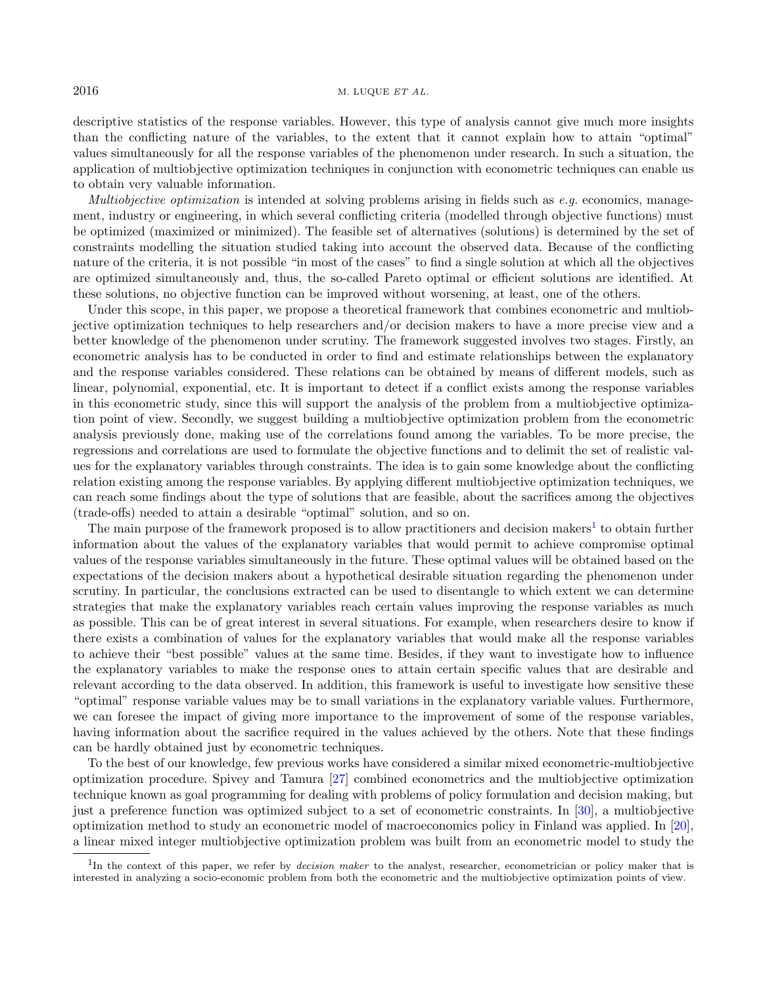descriptive statistics of the response variables. However, this type of analysis cannot give much more insights than the conflicting nature of the variables, to the extent that it cannot explain how to attain "optimal" values simultaneously for all the response variables of the phenomenon under research. In such a situation, the application of multiobjective optimization techniques in conjunction with econometric techniques can enable us to obtain very valuable information.

*Multiobjective optimization* is intended at solving problems arising in fields such as  $e.q$  economics, management, industry or engineering, in which several conflicting criteria (modelled through objective functions) must be optimized (maximized or minimized). The feasible set of alternatives (solutions) is determined by the set of constraints modelling the situation studied taking into account the observed data. Because of the conflicting nature of the criteria, it is not possible "in most of the cases" to find a single solution at which all the objectives are optimized simultaneously and, thus, the so-called Pareto optimal or efficient solutions are identified. At these solutions, no objective function can be improved without worsening, at least, one of the others.

Under this scope, in this paper, we propose a theoretical framework that combines econometric and multiobjective optimization techniques to help researchers and/or decision makers to have a more precise view and a better knowledge of the phenomenon under scrutiny. The framework suggested involves two stages. Firstly, an econometric analysis has to be conducted in order to find and estimate relationships between the explanatory and the response variables considered. These relations can be obtained by means of different models, such as linear, polynomial, exponential, etc. It is important to detect if a conflict exists among the response variables in this econometric study, since this will support the analysis of the problem from a multiobjective optimization point of view. Secondly, we suggest building a multiobjective optimization problem from the econometric analysis previously done, making use of the correlations found among the variables. To be more precise, the regressions and correlations are used to formulate the objective functions and to delimit the set of realistic values for the explanatory variables through constraints. The idea is to gain some knowledge about the conflicting relation existing among the response variables. By applying different multiobjective optimization techniques, we can reach some findings about the type of solutions that are feasible, about the sacrifices among the objectives (trade-offs) needed to attain a desirable "optimal" solution, and so on.

The main purpose of the framework proposed is to allow practitioners and decision makers<sup>[1](#page-1-0)</sup> to obtain further information about the values of the explanatory variables that would permit to achieve compromise optimal values of the response variables simultaneously in the future. These optimal values will be obtained based on the expectations of the decision makers about a hypothetical desirable situation regarding the phenomenon under scrutiny. In particular, the conclusions extracted can be used to disentangle to which extent we can determine strategies that make the explanatory variables reach certain values improving the response variables as much as possible. This can be of great interest in several situations. For example, when researchers desire to know if there exists a combination of values for the explanatory variables that would make all the response variables to achieve their "best possible" values at the same time. Besides, if they want to investigate how to influence the explanatory variables to make the response ones to attain certain specific values that are desirable and relevant according to the data observed. In addition, this framework is useful to investigate how sensitive these "optimal" response variable values may be to small variations in the explanatory variable values. Furthermore, we can foresee the impact of giving more importance to the improvement of some of the response variables, having information about the sacrifice required in the values achieved by the others. Note that these findings can be hardly obtained just by econometric techniques.

<span id="page-1-0"></span>To the best of our knowledge, few previous works have considered a similar mixed econometric-multiobjective optimization procedure. Spivey and Tamura [\[27\]](#page-20-0) combined econometrics and the multiobjective optimization technique known as goal programming for dealing with problems of policy formulation and decision making, but just a preference function was optimized subject to a set of econometric constraints. In [\[30\]](#page-20-1), a multiobjective optimization method to study an econometric model of macroeconomics policy in Finland was applied. In [\[20\]](#page-20-2), a linear mixed integer multiobjective optimization problem was built from an econometric model to study the

<sup>&</sup>lt;sup>1</sup>In the context of this paper, we refer by *decision maker* to the analyst, researcher, econometrician or policy maker that is interested in analyzing a socio-economic problem from both the econometric and the multiobjective optimization points of view.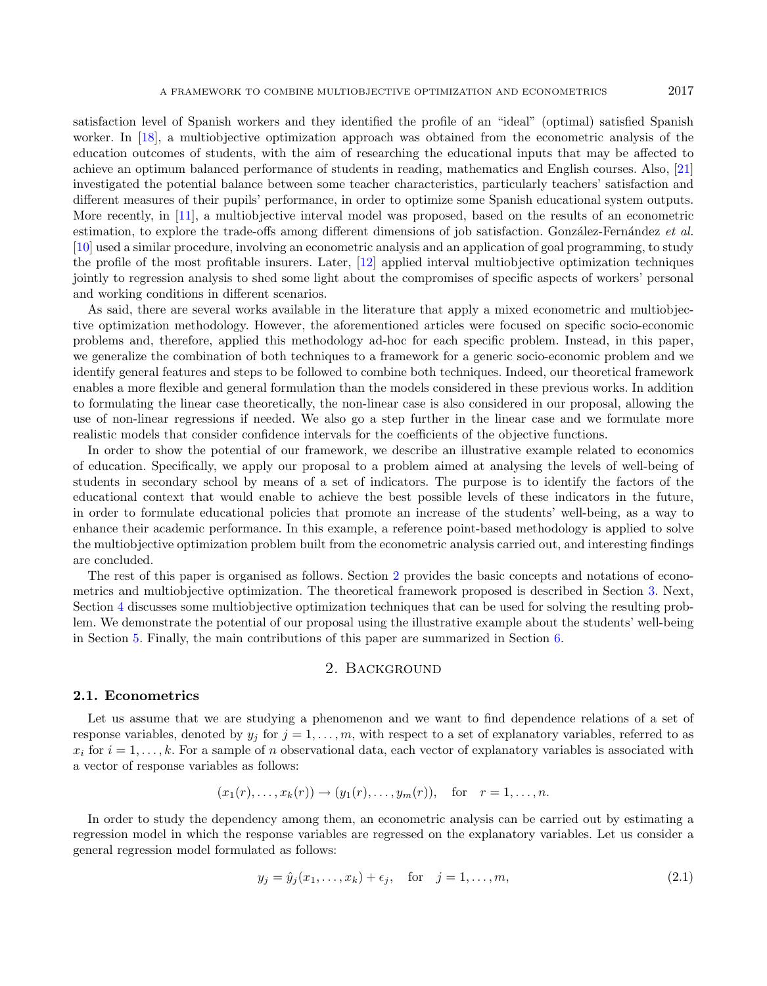worker. In [\[18\]](#page-19-0), a multiobjective optimization approach was obtained from the econometric analysis of the education outcomes of students, with the aim of researching the educational inputs that may be affected to achieve an optimum balanced performance of students in reading, mathematics and English courses. Also, [\[21\]](#page-20-3) investigated the potential balance between some teacher characteristics, particularly teachers' satisfaction and different measures of their pupils' performance, in order to optimize some Spanish educational system outputs. More recently, in [\[11\]](#page-19-1), a multiobjective interval model was proposed, based on the results of an econometric estimation, to explore the trade-offs among different dimensions of job satisfaction. González-Fernández et al. [\[10\]](#page-19-2) used a similar procedure, involving an econometric analysis and an application of goal programming, to study the profile of the most profitable insurers. Later, [\[12\]](#page-19-3) applied interval multiobjective optimization techniques jointly to regression analysis to shed some light about the compromises of specific aspects of workers' personal and working conditions in different scenarios.

As said, there are several works available in the literature that apply a mixed econometric and multiobjective optimization methodology. However, the aforementioned articles were focused on specific socio-economic problems and, therefore, applied this methodology ad-hoc for each specific problem. Instead, in this paper, we generalize the combination of both techniques to a framework for a generic socio-economic problem and we identify general features and steps to be followed to combine both techniques. Indeed, our theoretical framework enables a more flexible and general formulation than the models considered in these previous works. In addition to formulating the linear case theoretically, the non-linear case is also considered in our proposal, allowing the use of non-linear regressions if needed. We also go a step further in the linear case and we formulate more realistic models that consider confidence intervals for the coefficients of the objective functions.

In order to show the potential of our framework, we describe an illustrative example related to economics of education. Specifically, we apply our proposal to a problem aimed at analysing the levels of well-being of students in secondary school by means of a set of indicators. The purpose is to identify the factors of the educational context that would enable to achieve the best possible levels of these indicators in the future, in order to formulate educational policies that promote an increase of the students' well-being, as a way to enhance their academic performance. In this example, a reference point-based methodology is applied to solve the multiobjective optimization problem built from the econometric analysis carried out, and interesting findings are concluded.

The rest of this paper is organised as follows. Section [2](#page-2-0) provides the basic concepts and notations of econometrics and multiobjective optimization. The theoretical framework proposed is described in Section [3.](#page-3-0) Next, Section [4](#page-8-0) discusses some multiobjective optimization techniques that can be used for solving the resulting problem. We demonstrate the potential of our proposal using the illustrative example about the students' well-being in Section [5.](#page-10-0) Finally, the main contributions of this paper are summarized in Section [6.](#page-18-0)

## <span id="page-2-1"></span>2. Background

## <span id="page-2-0"></span>2.1. Econometrics

Let us assume that we are studying a phenomenon and we want to find dependence relations of a set of response variables, denoted by  $y_j$  for  $j = 1, \ldots, m$ , with respect to a set of explanatory variables, referred to as  $x_i$  for  $i = 1, \ldots, k$ . For a sample of *n* observational data, each vector of explanatory variables is associated with a vector of response variables as follows:

$$
(x_1(r),...,x_k(r)) \to (y_1(r),...,y_m(r)),
$$
 for  $r = 1,...,n$ .

In order to study the dependency among them, an econometric analysis can be carried out by estimating a regression model in which the response variables are regressed on the explanatory variables. Let us consider a general regression model formulated as follows:

$$
y_j = \hat{y}_j(x_1, \dots, x_k) + \epsilon_j, \quad \text{for} \quad j = 1, \dots, m,
$$
\n
$$
(2.1)
$$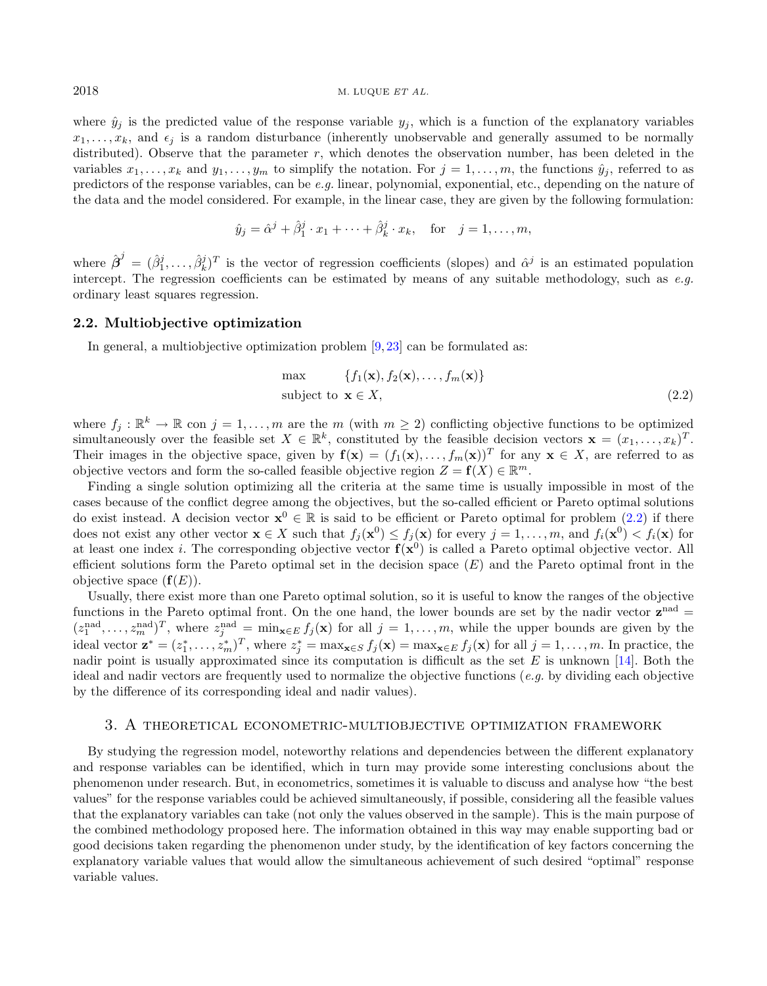where  $\hat{y}_j$  is the predicted value of the response variable  $y_j$ , which is a function of the explanatory variables  $x_1, \ldots, x_k$ , and  $\epsilon_j$  is a random disturbance (inherently unobservable and generally assumed to be normally distributed). Observe that the parameter  $r$ , which denotes the observation number, has been deleted in the variables  $x_1, \ldots, x_k$  and  $y_1, \ldots, y_m$  to simplify the notation. For  $j = 1, \ldots, m$ , the functions  $\hat{y}_j$ , referred to as predictors of the response variables, can be e.g. linear, polynomial, exponential, etc., depending on the nature of the data and the model considered. For example, in the linear case, they are given by the following formulation:

$$
\hat{y}_j = \hat{\alpha}^j + \hat{\beta}_1^j \cdot x_1 + \cdots + \hat{\beta}_k^j \cdot x_k, \quad \text{for} \quad j = 1, \ldots, m,
$$

where  $\hat{\boldsymbol{\beta}}^j = (\hat{\beta}_1^j, \ldots, \hat{\beta}_k^j)^T$  is the vector of regression coefficients (slopes) and  $\hat{\alpha}^j$  is an estimated population intercept. The regression coefficients can be estimated by means of any suitable methodology, such as  $e.g.$ ordinary least squares regression.

## 2.2. Multiobjective optimization

In general, a multiobjective optimization problem  $[9, 23]$  $[9, 23]$  $[9, 23]$  can be formulated as:

<span id="page-3-1"></span>
$$
\max \{f_1(\mathbf{x}), f_2(\mathbf{x}), \dots, f_m(\mathbf{x})\}
$$
\nsubject to  $\mathbf{x} \in X$ , (2.2)

where  $f_j : \mathbb{R}^k \to \mathbb{R}$  con  $j = 1, \ldots, m$  are the m (with  $m \geq 2$ ) conflicting objective functions to be optimized simultaneously over the feasible set  $X \in \mathbb{R}^k$ , constituted by the feasible decision vectors  $\mathbf{x} = (x_1, \ldots, x_k)^T$ . Their images in the objective space, given by  $f(x) = (f_1(x), \ldots, f_m(x))^T$  for any  $x \in X$ , are referred to as objective vectors and form the so-called feasible objective region  $Z = f(X) \in \mathbb{R}^m$ .

Finding a single solution optimizing all the criteria at the same time is usually impossible in most of the cases because of the conflict degree among the objectives, but the so-called efficient or Pareto optimal solutions do exist instead. A decision vector  $\mathbf{x}^0 \in \mathbb{R}$  is said to be efficient or Pareto optimal for problem  $(2.2)$  if there does not exist any other vector  $\mathbf{x} \in X$  such that  $f_j(\mathbf{x}^0) \leq f_j(\mathbf{x})$  for every  $j = 1, \ldots, m$ , and  $f_i(\mathbf{x}^0) < f_i(\mathbf{x})$  for at least one index *i*. The corresponding objective vector  $f(x^0)$  is called a Pareto optimal objective vector. All efficient solutions form the Pareto optimal set in the decision space  $(E)$  and the Pareto optimal front in the objective space  $(f(E))$ .

Usually, there exist more than one Pareto optimal solution, so it is useful to know the ranges of the objective functions in the Pareto optimal front. On the one hand, the lower bounds are set by the nadir vector  $z^{nad} =$  $(z_1^{\text{nad}}, \ldots, z_m^{\text{nad}})^T$ , where  $z_j^{\text{nad}} = \min_{\mathbf{x} \in E} f_j(\mathbf{x})$  for all  $j = 1, \ldots, m$ , while the upper bounds are given by the ideal vector  $\mathbf{z}^* = (z_1^*, \ldots, z_m^*)^T$ , where  $z_j^* = \max_{\mathbf{x} \in S} f_j(\mathbf{x}) = \max_{\mathbf{x} \in E} f_j(\mathbf{x})$  for all  $j = 1, \ldots, m$ . In practice, the nadir point is usually approximated since its computation is difficult as the set  $E$  is unknown [\[14\]](#page-19-5). Both the ideal and nadir vectors are frequently used to normalize the objective functions (e.g. by dividing each objective by the difference of its corresponding ideal and nadir values).

## <span id="page-3-0"></span>3. A theoretical econometric-multiobjective optimization framework

By studying the regression model, noteworthy relations and dependencies between the different explanatory and response variables can be identified, which in turn may provide some interesting conclusions about the phenomenon under research. But, in econometrics, sometimes it is valuable to discuss and analyse how "the best values" for the response variables could be achieved simultaneously, if possible, considering all the feasible values that the explanatory variables can take (not only the values observed in the sample). This is the main purpose of the combined methodology proposed here. The information obtained in this way may enable supporting bad or good decisions taken regarding the phenomenon under study, by the identification of key factors concerning the explanatory variable values that would allow the simultaneous achievement of such desired "optimal" response variable values.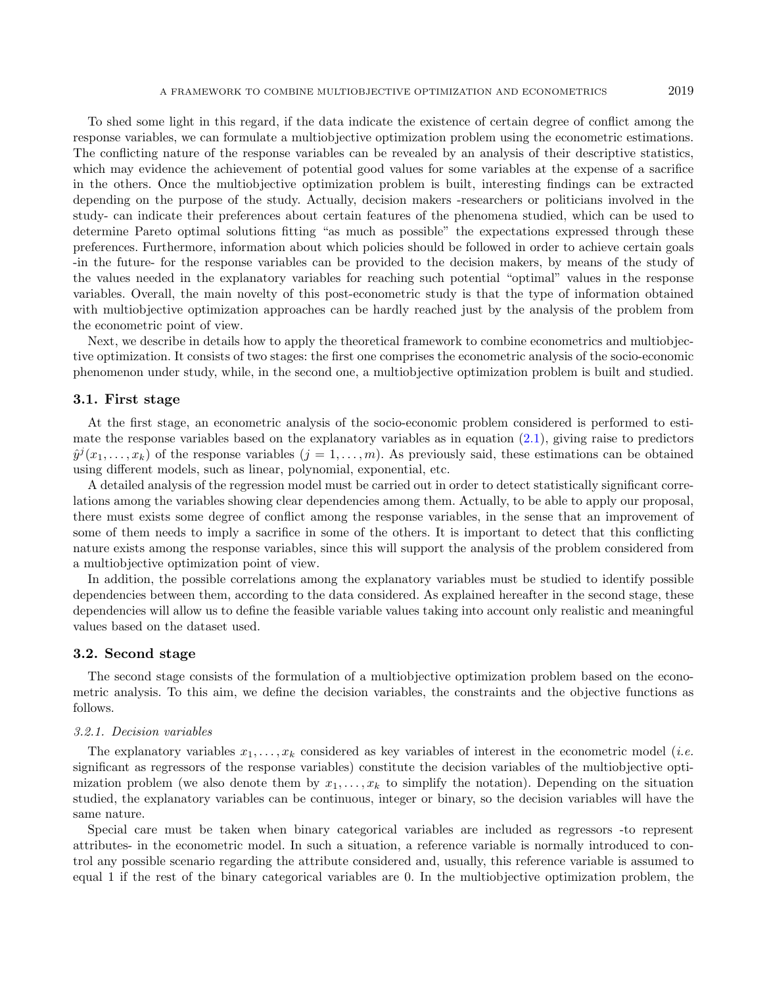To shed some light in this regard, if the data indicate the existence of certain degree of conflict among the response variables, we can formulate a multiobjective optimization problem using the econometric estimations. The conflicting nature of the response variables can be revealed by an analysis of their descriptive statistics, which may evidence the achievement of potential good values for some variables at the expense of a sacrifice in the others. Once the multiobjective optimization problem is built, interesting findings can be extracted depending on the purpose of the study. Actually, decision makers -researchers or politicians involved in the study- can indicate their preferences about certain features of the phenomena studied, which can be used to determine Pareto optimal solutions fitting "as much as possible" the expectations expressed through these preferences. Furthermore, information about which policies should be followed in order to achieve certain goals -in the future- for the response variables can be provided to the decision makers, by means of the study of the values needed in the explanatory variables for reaching such potential "optimal" values in the response variables. Overall, the main novelty of this post-econometric study is that the type of information obtained with multiobjective optimization approaches can be hardly reached just by the analysis of the problem from the econometric point of view.

Next, we describe in details how to apply the theoretical framework to combine econometrics and multiobjective optimization. It consists of two stages: the first one comprises the econometric analysis of the socio-economic phenomenon under study, while, in the second one, a multiobjective optimization problem is built and studied.

## <span id="page-4-0"></span>3.1. First stage

At the first stage, an econometric analysis of the socio-economic problem considered is performed to estimate the response variables based on the explanatory variables as in equation [\(2.1\)](#page-2-1), giving raise to predictors  $\hat{y}^j(x_1,\ldots,x_k)$  of the response variables  $(j=1,\ldots,m)$ . As previously said, these estimations can be obtained using different models, such as linear, polynomial, exponential, etc.

A detailed analysis of the regression model must be carried out in order to detect statistically significant correlations among the variables showing clear dependencies among them. Actually, to be able to apply our proposal, there must exists some degree of conflict among the response variables, in the sense that an improvement of some of them needs to imply a sacrifice in some of the others. It is important to detect that this conflicting nature exists among the response variables, since this will support the analysis of the problem considered from a multiobjective optimization point of view.

In addition, the possible correlations among the explanatory variables must be studied to identify possible dependencies between them, according to the data considered. As explained hereafter in the second stage, these dependencies will allow us to define the feasible variable values taking into account only realistic and meaningful values based on the dataset used.

#### <span id="page-4-1"></span>3.2. Second stage

The second stage consists of the formulation of a multiobjective optimization problem based on the econometric analysis. To this aim, we define the decision variables, the constraints and the objective functions as follows.

#### 3.2.1. Decision variables

The explanatory variables  $x_1, \ldots, x_k$  considered as key variables of interest in the econometric model (*i.e.*) significant as regressors of the response variables) constitute the decision variables of the multiobjective optimization problem (we also denote them by  $x_1, \ldots, x_k$  to simplify the notation). Depending on the situation studied, the explanatory variables can be continuous, integer or binary, so the decision variables will have the same nature.

Special care must be taken when binary categorical variables are included as regressors -to represent attributes- in the econometric model. In such a situation, a reference variable is normally introduced to control any possible scenario regarding the attribute considered and, usually, this reference variable is assumed to equal 1 if the rest of the binary categorical variables are 0. In the multiobjective optimization problem, the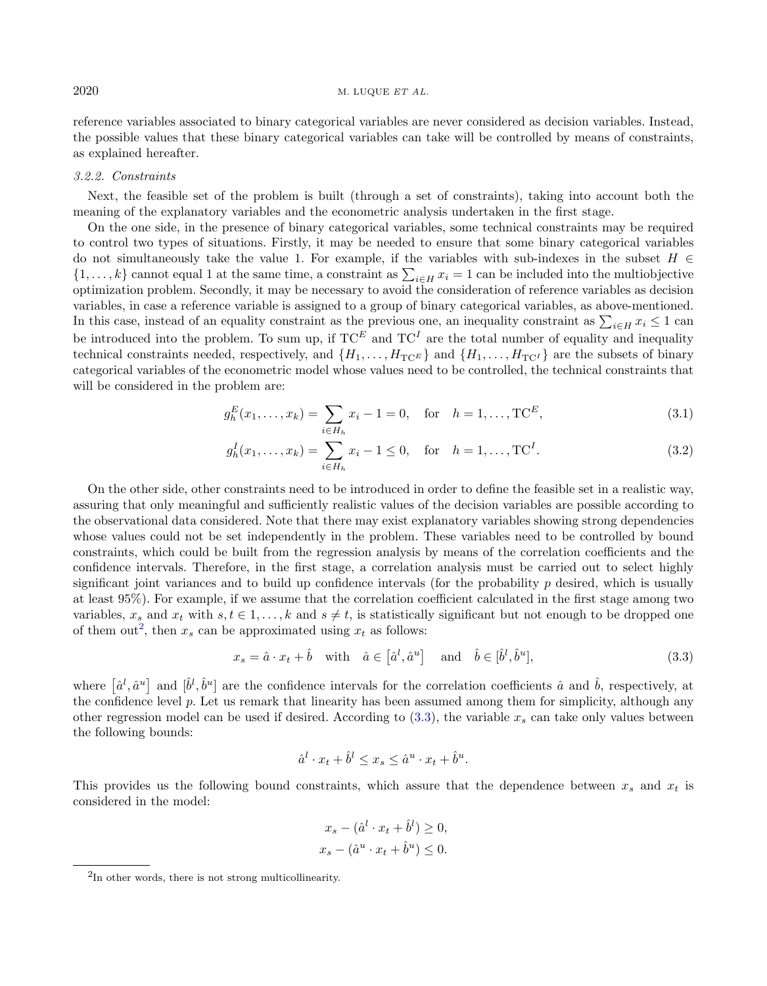reference variables associated to binary categorical variables are never considered as decision variables. Instead, the possible values that these binary categorical variables can take will be controlled by means of constraints, as explained hereafter.

## <span id="page-5-3"></span>3.2.2. Constraints

Next, the feasible set of the problem is built (through a set of constraints), taking into account both the meaning of the explanatory variables and the econometric analysis undertaken in the first stage.

On the one side, in the presence of binary categorical variables, some technical constraints may be required to control two types of situations. Firstly, it may be needed to ensure that some binary categorical variables do not simultaneously take the value 1. For example, if the variables with sub-indexes in the subset  $H \in$  $\{1,\ldots,k\}$  cannot equal 1 at the same time, a constraint as  $\sum_{i\in H} x_i = 1$  can be included into the multiobjective optimization problem. Secondly, it may be necessary to avoid the consideration of reference variables as decision variables, in case a reference variable is assigned to a group of binary categorical variables, as above-mentioned. In this case, instead of an equality constraint as the previous one, an inequality constraint as  $\sum_{i\in H} x_i \leq 1$  can be introduced into the problem. To sum up, if  $TC^E$  and  $TC^I$  are the total number of equality and inequality technical constraints needed, respectively, and  $\{H_1, \ldots, H_{TC} \}$  and  $\{H_1, \ldots, H_{TC'}\}$  are the subsets of binary categorical variables of the econometric model whose values need to be controlled, the technical constraints that will be considered in the problem are:

<span id="page-5-2"></span>
$$
g_h^E(x_1, \dots, x_k) = \sum_{i \in H_h} x_i - 1 = 0, \quad \text{for} \quad h = 1, \dots, \text{TC}^E,
$$
\n(3.1)

<span id="page-5-1"></span>
$$
g_h^I(x_1, \dots, x_k) = \sum_{i \in H_h} x_i - 1 \le 0, \quad \text{for} \quad h = 1, \dots, \text{TC}^I.
$$
 (3.2)

On the other side, other constraints need to be introduced in order to define the feasible set in a realistic way, assuring that only meaningful and sufficiently realistic values of the decision variables are possible according to the observational data considered. Note that there may exist explanatory variables showing strong dependencies whose values could not be set independently in the problem. These variables need to be controlled by bound constraints, which could be built from the regression analysis by means of the correlation coefficients and the confidence intervals. Therefore, in the first stage, a correlation analysis must be carried out to select highly significant joint variances and to build up confidence intervals (for the probability  $p$  desired, which is usually at least 95%). For example, if we assume that the correlation coefficient calculated in the first stage among two variables,  $x_s$  and  $x_t$  with  $s, t \in 1, \ldots, k$  and  $s \neq t$ , is statistically significant but not enough to be dropped one of them out<sup>[2](#page-5-0)</sup>, then  $x_s$  can be approximated using  $x_t$  as follows:

$$
x_s = \hat{a} \cdot x_t + \hat{b} \quad \text{with} \quad \hat{a} \in \left[\hat{a}^l, \hat{a}^u\right] \quad \text{and} \quad \hat{b} \in \left[\hat{b}^l, \hat{b}^u\right],\tag{3.3}
$$

<span id="page-5-0"></span>where  $[\hat{a}^l, \hat{a}^u]$  and  $[\hat{b}^l, \hat{b}^u]$  are the confidence intervals for the correlation coefficients  $\hat{a}$  and  $\hat{b}$ , respectively, at the confidence level  $p$ . Let us remark that linearity has been assumed among them for simplicity, although any other regression model can be used if desired. According to  $(3.3)$ , the variable  $x_s$  can take only values between the following bounds:

$$
\hat{a}^l \cdot x_t + \hat{b}^l \le x_s \le \hat{a}^u \cdot x_t + \hat{b}^u.
$$

This provides us the following bound constraints, which assure that the dependence between  $x_s$  and  $x_t$  is considered in the model:

$$
x_s - (\hat{a}^l \cdot x_t + \hat{b}^l) \ge 0,
$$
  

$$
x_s - (\hat{a}^u \cdot x_t + \hat{b}^u) \le 0.
$$

<sup>&</sup>lt;sup>2</sup>In other words, there is not strong multicollinearity.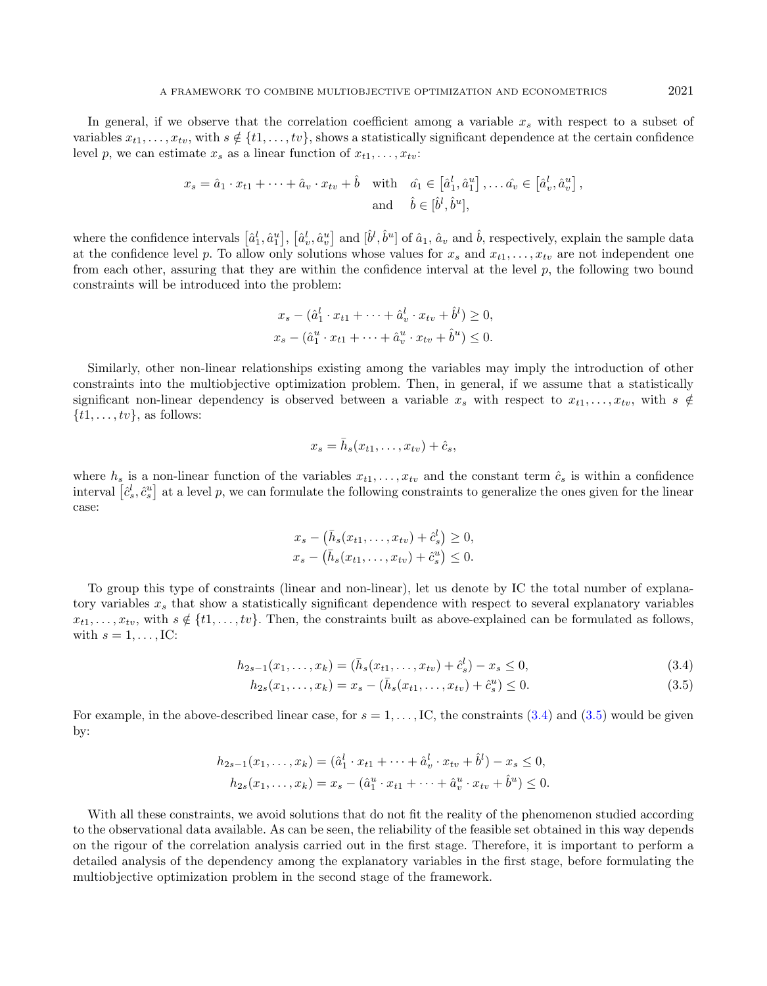In general, if we observe that the correlation coefficient among a variable  $x_s$  with respect to a subset of variables  $x_{t1}, \ldots, x_{tv}$ , with  $s \notin \{t1, \ldots, tv\}$ , shows a statistically significant dependence at the certain confidence level p, we can estimate  $x_s$  as a linear function of  $x_{t1}, \ldots, x_{tv}$ :

$$
x_s = \hat{a}_1 \cdot x_{t1} + \dots + \hat{a}_v \cdot x_{tv} + \hat{b} \quad \text{with} \quad \hat{a}_1 \in \left[\hat{a}_1^l, \hat{a}_1^u\right], \dots \hat{a}_v \in \left[\hat{a}_v^l, \hat{a}_v^u\right],
$$
  
and 
$$
\hat{b} \in \left[\hat{b}^l, \hat{b}^u\right],
$$

where the confidence intervals  $\left[\hat{a}_1^l,\hat{a}_1^u\right]$ ,  $\left[\hat{a}_v^l,\hat{a}_v^u\right]$  and  $\left[\hat{b}^l,\hat{b}^u\right]$  of  $\hat{a}_1$ ,  $\hat{a}_v$  and  $\hat{b}$ , respectively, explain the sample data at the confidence level p. To allow only solutions whose values for  $x_s$  and  $x_{t1}, \ldots, x_{tv}$  are not independent one from each other, assuring that they are within the confidence interval at the level  $p$ , the following two bound constraints will be introduced into the problem:

$$
x_s - (\hat{a}_1^l \cdot x_{t1} + \dots + \hat{a}_v^l \cdot x_{tv} + \hat{b}^l) \ge 0,
$$
  

$$
x_s - (\hat{a}_1^u \cdot x_{t1} + \dots + \hat{a}_v^u \cdot x_{tv} + \hat{b}^u) \le 0.
$$

Similarly, other non-linear relationships existing among the variables may imply the introduction of other constraints into the multiobjective optimization problem. Then, in general, if we assume that a statistically significant non-linear dependency is observed between a variable  $x_s$  with respect to  $x_{t1}, \ldots, x_{tv}$ , with  $s \notin$  $\{t1, \ldots, tv\}$ , as follows:

<span id="page-6-1"></span><span id="page-6-0"></span>
$$
x_s = \bar{h}_s(x_{t1}, \dots, x_{tv}) + \hat{c}_s,
$$

where  $h_s$  is a non-linear function of the variables  $x_{t1}, \ldots, x_{tv}$  and the constant term  $\hat{c}_s$  is within a confidence interval  $[\hat{c}_s^l, \hat{c}_s^u]$  at a level p, we can formulate the following constraints to generalize the ones given for the linear case:

$$
x_s - (\bar{h}_s(x_{t1}, \dots, x_{tv}) + \hat{c}_s^l) \ge 0,
$$
  

$$
x_s - (\bar{h}_s(x_{t1}, \dots, x_{tv}) + \hat{c}_s^u) \le 0.
$$

To group this type of constraints (linear and non-linear), let us denote by IC the total number of explanatory variables  $x<sub>s</sub>$  that show a statistically significant dependence with respect to several explanatory variables  $x_{t1}, \ldots, x_{tv}$ , with  $s \notin \{t1, \ldots, tv\}$ . Then, the constraints built as above-explained can be formulated as follows, with  $s = 1, \ldots, \text{IC:}$ 

$$
h_{2s-1}(x_1,\ldots,x_k) = (\bar{h}_s(x_{t1},\ldots,x_{tv}) + \hat{c}_s^l) - x_s \le 0,
$$
\n(3.4)

$$
h_{2s}(x_1, \ldots, x_k) = x_s - (\bar{h}_s(x_{t1}, \ldots, x_{tv}) + \hat{c}_s^u) \le 0.
$$
\n(3.5)

For example, in the above-described linear case, for  $s = 1, \ldots, IC$ , the constraints [\(3.4\)](#page-6-0) and [\(3.5\)](#page-6-1) would be given by:

$$
h_{2s-1}(x_1, ..., x_k) = (\hat{a}_1^l \cdot x_{t1} + \dots + \hat{a}_v^l \cdot x_{tv} + \hat{b}^l) - x_s \le 0,
$$
  

$$
h_{2s}(x_1, ..., x_k) = x_s - (\hat{a}_1^u \cdot x_{t1} + \dots + \hat{a}_v^u \cdot x_{tv} + \hat{b}^u) \le 0.
$$

With all these constraints, we avoid solutions that do not fit the reality of the phenomenon studied according to the observational data available. As can be seen, the reliability of the feasible set obtained in this way depends on the rigour of the correlation analysis carried out in the first stage. Therefore, it is important to perform a detailed analysis of the dependency among the explanatory variables in the first stage, before formulating the multiobjective optimization problem in the second stage of the framework.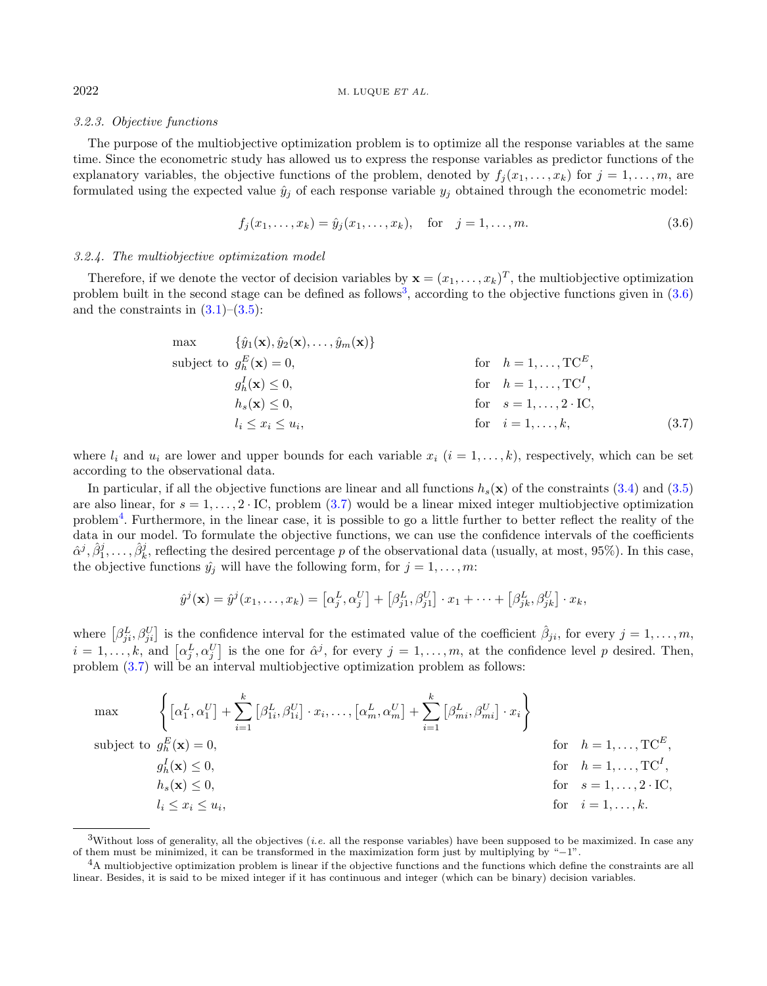## 3.2.3. Objective functions

The purpose of the multiobjective optimization problem is to optimize all the response variables at the same time. Since the econometric study has allowed us to express the response variables as predictor functions of the explanatory variables, the objective functions of the problem, denoted by  $f_i(x_1, \ldots, x_k)$  for  $j = 1, \ldots, m$ , are formulated using the expected value  $\hat{y}_j$  of each response variable  $y_j$  obtained through the econometric model:

<span id="page-7-2"></span><span id="page-7-1"></span>
$$
f_j(x_1, \dots, x_k) = \hat{y}_j(x_1, \dots, x_k), \quad \text{for} \quad j = 1, \dots, m. \tag{3.6}
$$

## 3.2.4. The multiobjective optimization model

Therefore, if we denote the vector of decision variables by  $\mathbf{x} = (x_1, \dots, x_k)^T$ , the multiobjective optimization problem built in the second stage can be defined as follows<sup>[3](#page-7-0)</sup>, according to the objective functions given in  $(3.6)$ and the constraints in  $(3.1)$ – $(3.5)$ :

max 
$$
\{\hat{y}_1(\mathbf{x}), \hat{y}_2(\mathbf{x}),..., \hat{y}_m(\mathbf{x})\}
$$
  
\nsubject to  $g_h^E(\mathbf{x}) = 0$ , for  $h = 1,..., \text{TC}^E$ ,  
\n $g_h^I(\mathbf{x}) \le 0$ , for  $h = 1,..., \text{TC}^I$ ,  
\n $h_s(\mathbf{x}) \le 0$ , for  $s = 1,..., 2 \cdot \text{IC}$ ,  
\n $l_i \le x_i \le u_i$ , for  $i = 1,...,k$ , (3.7)

where  $l_i$  and  $u_i$  are lower and upper bounds for each variable  $x_i$   $(i = 1, \ldots, k)$ , respectively, which can be set according to the observational data.

In particular, if all the objective functions are linear and all functions  $h_s(\mathbf{x})$  of the constraints [\(3.4\)](#page-6-0) and [\(3.5\)](#page-6-1) are also linear, for  $s = 1, \ldots, 2 \cdot \text{IC}$ , problem [\(3.7\)](#page-7-2) would be a linear mixed integer multiobjective optimization problem<sup>[4](#page-7-3)</sup>. Furthermore, in the linear case, it is possible to go a little further to better reflect the reality of the data in our model. To formulate the objective functions, we can use the confidence intervals of the coefficients  $\hat{\alpha}^j, \hat{\beta}_1^j, \ldots, \hat{\beta}_k^j$ , reflecting the desired percentage p of the observational data (usually, at most, 95%). In this case, the objective functions  $\hat{y}_i$  will have the following form, for  $j = 1, \ldots, m$ :

$$
\hat{y}^j(\mathbf{x}) = \hat{y}^j(x_1,\ldots,x_k) = \left[\alpha_j^L, \alpha_j^U\right] + \left[\beta_{j1}^L, \beta_{j1}^U\right] \cdot x_1 + \cdots + \left[\beta_{jk}^L, \beta_{jk}^U\right] \cdot x_k,
$$

<span id="page-7-0"></span>where  $\left[\beta_{ji}^L, \beta_{ji}^U\right]$  is the confidence interval for the estimated value of the coefficient  $\hat{\beta}_{ji}$ , for every  $j = 1, \ldots, m$ ,  $i = 1, \ldots, k$ , and  $\left[\alpha_j^L, \alpha_j^U\right]$  is the one for  $\hat{\alpha}^j$ , for every  $j = 1, \ldots, m$ , at the confidence level p desired. Then, problem [\(3.7\)](#page-7-2) will be an interval multiobjective optimization problem as follows:

<span id="page-7-3"></span>
$$
\max \left\{ \left[ \alpha_1^L, \alpha_1^U \right] + \sum_{i=1}^k \left[ \beta_{1i}^L, \beta_{1i}^U \right] \cdot x_i, \dots, \left[ \alpha_m^L, \alpha_m^U \right] + \sum_{i=1}^k \left[ \beta_{mi}^L, \beta_{mi}^U \right] \cdot x_i \right\}
$$
\n
$$
\text{subject to } g_h^E(\mathbf{x}) = 0,
$$
\n
$$
g_h^I(\mathbf{x}) \le 0,
$$
\n
$$
h_s(\mathbf{x}) \le 0,
$$
\n
$$
h_s(\mathbf{x}) \le 0,
$$
\n
$$
i \le x_i \le u_i,
$$
\n
$$
\text{for } i = 1, \dots, L.
$$
\n
$$
i = 1, \dots, k.
$$

 $3$ Without loss of generality, all the objectives (*i.e.* all the response variables) have been supposed to be maximized. In case any of them must be minimized, it can be transformed in the maximization form just by multiplying by "−1".

 ${}^{4}A$  multiobjective optimization problem is linear if the objective functions and the functions which define the constraints are all linear. Besides, it is said to be mixed integer if it has continuous and integer (which can be binary) decision variables.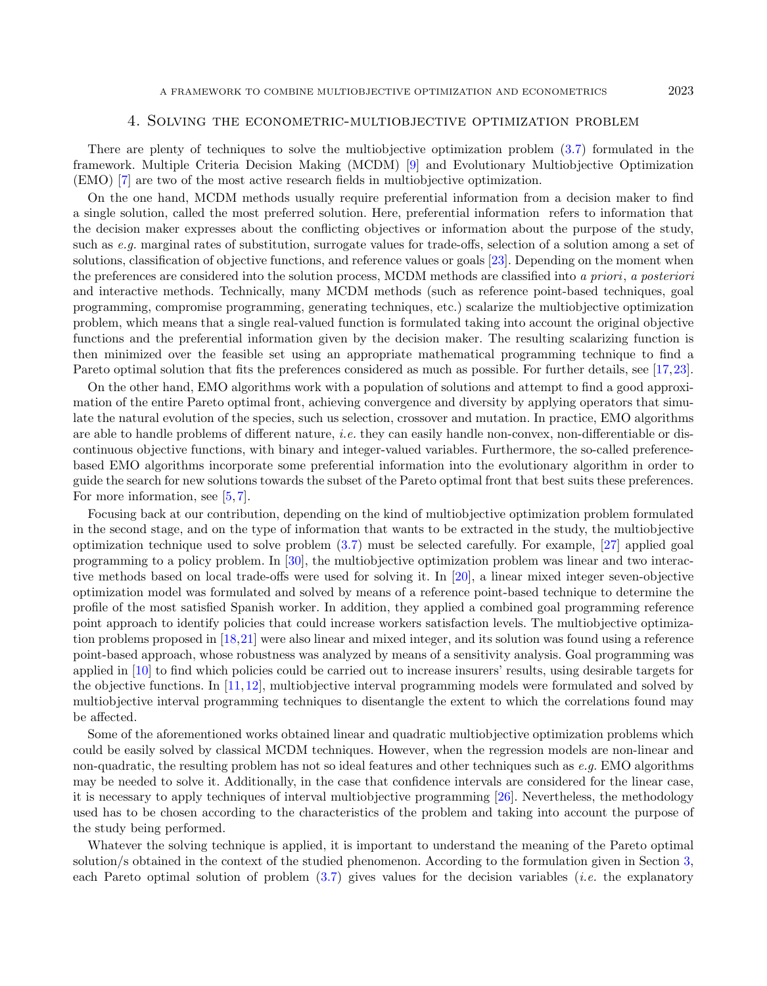## 4. Solving the econometric-multiobjective optimization problem

<span id="page-8-0"></span>There are plenty of techniques to solve the multiobjective optimization problem [\(3.7\)](#page-7-2) formulated in the framework. Multiple Criteria Decision Making (MCDM) [\[9\]](#page-19-4) and Evolutionary Multiobjective Optimization (EMO) [\[7\]](#page-19-6) are two of the most active research fields in multiobjective optimization.

On the one hand, MCDM methods usually require preferential information from a decision maker to find a single solution, called the most preferred solution. Here, preferential information refers to information that the decision maker expresses about the conflicting objectives or information about the purpose of the study, such as e.g. marginal rates of substitution, surrogate values for trade-offs, selection of a solution among a set of solutions, classification of objective functions, and reference values or goals [\[23\]](#page-20-4). Depending on the moment when the preferences are considered into the solution process, MCDM methods are classified into a priori, a posteriori and interactive methods. Technically, many MCDM methods (such as reference point-based techniques, goal programming, compromise programming, generating techniques, etc.) scalarize the multiobjective optimization problem, which means that a single real-valued function is formulated taking into account the original objective functions and the preferential information given by the decision maker. The resulting scalarizing function is then minimized over the feasible set using an appropriate mathematical programming technique to find a Pareto optimal solution that fits the preferences considered as much as possible. For further details, see [\[17,](#page-19-7)[23\]](#page-20-4).

On the other hand, EMO algorithms work with a population of solutions and attempt to find a good approximation of the entire Pareto optimal front, achieving convergence and diversity by applying operators that simulate the natural evolution of the species, such us selection, crossover and mutation. In practice, EMO algorithms are able to handle problems of different nature, *i.e.* they can easily handle non-convex, non-differentiable or discontinuous objective functions, with binary and integer-valued variables. Furthermore, the so-called preferencebased EMO algorithms incorporate some preferential information into the evolutionary algorithm in order to guide the search for new solutions towards the subset of the Pareto optimal front that best suits these preferences. For more information, see [\[5,](#page-19-8)[7\]](#page-19-6).

Focusing back at our contribution, depending on the kind of multiobjective optimization problem formulated in the second stage, and on the type of information that wants to be extracted in the study, the multiobjective optimization technique used to solve problem [\(3.7\)](#page-7-2) must be selected carefully. For example, [\[27\]](#page-20-0) applied goal programming to a policy problem. In [\[30\]](#page-20-1), the multiobjective optimization problem was linear and two interactive methods based on local trade-offs were used for solving it. In [\[20\]](#page-20-2), a linear mixed integer seven-objective optimization model was formulated and solved by means of a reference point-based technique to determine the profile of the most satisfied Spanish worker. In addition, they applied a combined goal programming reference point approach to identify policies that could increase workers satisfaction levels. The multiobjective optimization problems proposed in [\[18,](#page-19-0)[21\]](#page-20-3) were also linear and mixed integer, and its solution was found using a reference point-based approach, whose robustness was analyzed by means of a sensitivity analysis. Goal programming was applied in [\[10\]](#page-19-2) to find which policies could be carried out to increase insurers' results, using desirable targets for the objective functions. In [\[11,](#page-19-1)[12\]](#page-19-3), multiobjective interval programming models were formulated and solved by multiobjective interval programming techniques to disentangle the extent to which the correlations found may be affected.

Some of the aforementioned works obtained linear and quadratic multiobjective optimization problems which could be easily solved by classical MCDM techniques. However, when the regression models are non-linear and non-quadratic, the resulting problem has not so ideal features and other techniques such as  $e.g.$  EMO algorithms may be needed to solve it. Additionally, in the case that confidence intervals are considered for the linear case, it is necessary to apply techniques of interval multiobjective programming [\[26\]](#page-20-5). Nevertheless, the methodology used has to be chosen according to the characteristics of the problem and taking into account the purpose of the study being performed.

Whatever the solving technique is applied, it is important to understand the meaning of the Pareto optimal solution/s obtained in the context of the studied phenomenon. According to the formulation given in Section [3,](#page-3-0) each Pareto optimal solution of problem  $(3.7)$  gives values for the decision variables (*i.e.* the explanatory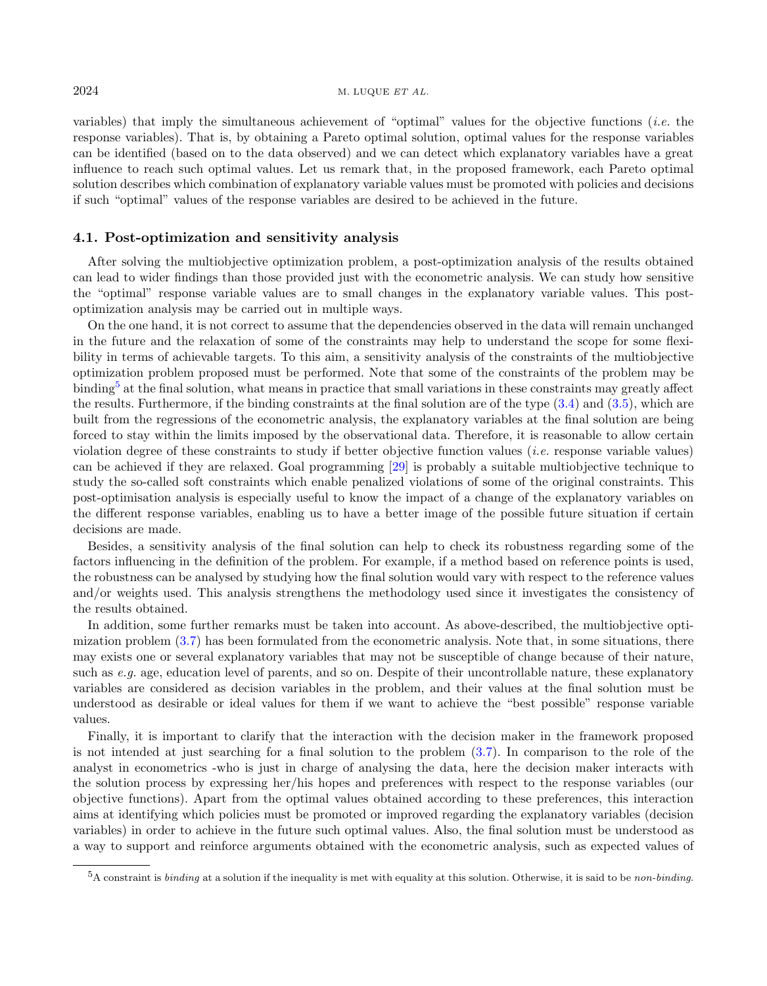$2024$  M. LUQUE *ET AL.* 

variables) that imply the simultaneous achievement of "optimal" values for the objective functions (i.e. the response variables). That is, by obtaining a Pareto optimal solution, optimal values for the response variables can be identified (based on to the data observed) and we can detect which explanatory variables have a great influence to reach such optimal values. Let us remark that, in the proposed framework, each Pareto optimal solution describes which combination of explanatory variable values must be promoted with policies and decisions if such "optimal" values of the response variables are desired to be achieved in the future.

## 4.1. Post-optimization and sensitivity analysis

After solving the multiobjective optimization problem, a post-optimization analysis of the results obtained can lead to wider findings than those provided just with the econometric analysis. We can study how sensitive the "optimal" response variable values are to small changes in the explanatory variable values. This postoptimization analysis may be carried out in multiple ways.

On the one hand, it is not correct to assume that the dependencies observed in the data will remain unchanged in the future and the relaxation of some of the constraints may help to understand the scope for some flexibility in terms of achievable targets. To this aim, a sensitivity analysis of the constraints of the multiobjective optimization problem proposed must be performed. Note that some of the constraints of the problem may be binding<sup>[5](#page-9-0)</sup> at the final solution, what means in practice that small variations in these constraints may greatly affect the results. Furthermore, if the binding constraints at the final solution are of the type  $(3.4)$  and  $(3.5)$ , which are built from the regressions of the econometric analysis, the explanatory variables at the final solution are being forced to stay within the limits imposed by the observational data. Therefore, it is reasonable to allow certain violation degree of these constraints to study if better objective function values (*i.e.* response variable values) can be achieved if they are relaxed. Goal programming [\[29\]](#page-20-6) is probably a suitable multiobjective technique to study the so-called soft constraints which enable penalized violations of some of the original constraints. This post-optimisation analysis is especially useful to know the impact of a change of the explanatory variables on the different response variables, enabling us to have a better image of the possible future situation if certain decisions are made.

Besides, a sensitivity analysis of the final solution can help to check its robustness regarding some of the factors influencing in the definition of the problem. For example, if a method based on reference points is used, the robustness can be analysed by studying how the final solution would vary with respect to the reference values and/or weights used. This analysis strengthens the methodology used since it investigates the consistency of the results obtained.

In addition, some further remarks must be taken into account. As above-described, the multiobjective optimization problem [\(3.7\)](#page-7-2) has been formulated from the econometric analysis. Note that, in some situations, there may exists one or several explanatory variables that may not be susceptible of change because of their nature, such as e.g. age, education level of parents, and so on. Despite of their uncontrollable nature, these explanatory variables are considered as decision variables in the problem, and their values at the final solution must be understood as desirable or ideal values for them if we want to achieve the "best possible" response variable values.

<span id="page-9-0"></span>Finally, it is important to clarify that the interaction with the decision maker in the framework proposed is not intended at just searching for a final solution to the problem [\(3.7\)](#page-7-2). In comparison to the role of the analyst in econometrics -who is just in charge of analysing the data, here the decision maker interacts with the solution process by expressing her/his hopes and preferences with respect to the response variables (our objective functions). Apart from the optimal values obtained according to these preferences, this interaction aims at identifying which policies must be promoted or improved regarding the explanatory variables (decision variables) in order to achieve in the future such optimal values. Also, the final solution must be understood as a way to support and reinforce arguments obtained with the econometric analysis, such as expected values of

 $5A$  constraint is *binding* at a solution if the inequality is met with equality at this solution. Otherwise, it is said to be non-binding.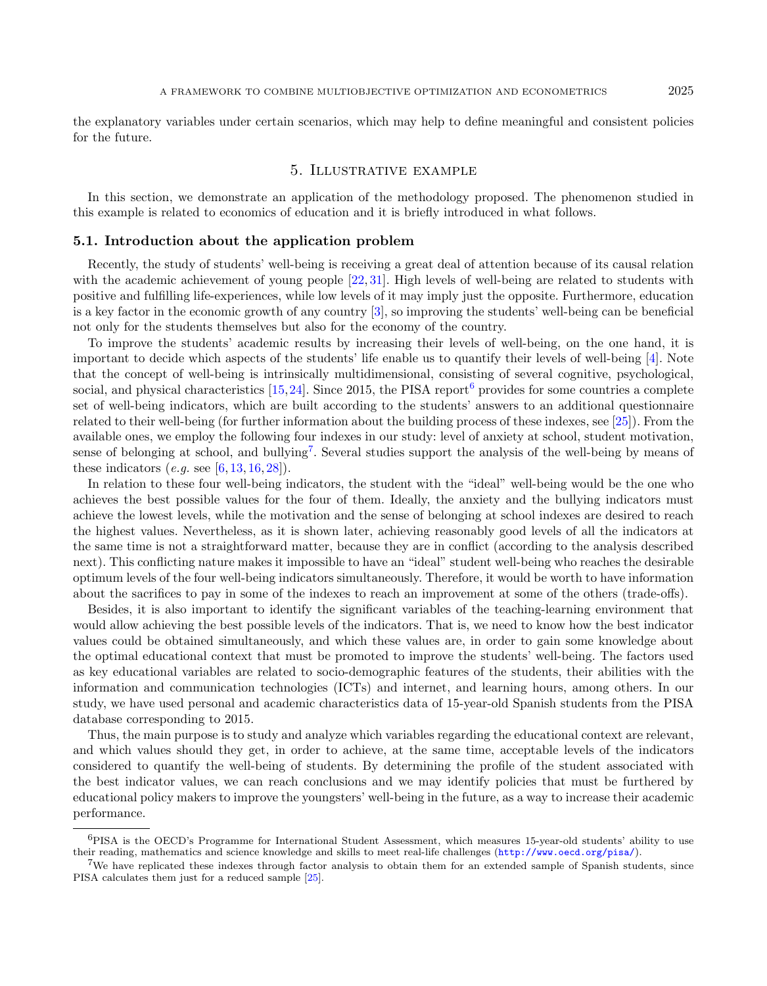the explanatory variables under certain scenarios, which may help to define meaningful and consistent policies for the future.

## 5. Illustrative example

<span id="page-10-0"></span>In this section, we demonstrate an application of the methodology proposed. The phenomenon studied in this example is related to economics of education and it is briefly introduced in what follows.

## 5.1. Introduction about the application problem

Recently, the study of students' well-being is receiving a great deal of attention because of its causal relation with the academic achievement of young people [\[22,](#page-20-7) [31\]](#page-20-8). High levels of well-being are related to students with positive and fulfilling life-experiences, while low levels of it may imply just the opposite. Furthermore, education is a key factor in the economic growth of any country [\[3\]](#page-19-9), so improving the students' well-being can be beneficial not only for the students themselves but also for the economy of the country.

To improve the students' academic results by increasing their levels of well-being, on the one hand, it is important to decide which aspects of the students' life enable us to quantify their levels of well-being [\[4\]](#page-19-10). Note that the concept of well-being is intrinsically multidimensional, consisting of several cognitive, psychological, social, and physical characteristics  $[15,24]$  $[15,24]$ . Since 2015, the PISA report<sup>[6](#page-10-1)</sup> provides for some countries a complete set of well-being indicators, which are built according to the students' answers to an additional questionnaire related to their well-being (for further information about the building process of these indexes, see [\[25\]](#page-20-10)). From the available ones, we employ the following four indexes in our study: level of anxiety at school, student motivation, sense of belonging at school, and bullying<sup>[7](#page-10-2)</sup>. Several studies support the analysis of the well-being by means of these indicators  $(e.g. \text{ see } [6, 13, 16, 28])$  $(e.g. \text{ see } [6, 13, 16, 28])$  $(e.g. \text{ see } [6, 13, 16, 28])$  $(e.g. \text{ see } [6, 13, 16, 28])$  $(e.g. \text{ see } [6, 13, 16, 28])$  $(e.g. \text{ see } [6, 13, 16, 28])$  $(e.g. \text{ see } [6, 13, 16, 28])$  $(e.g. \text{ see } [6, 13, 16, 28])$  $(e.g. \text{ see } [6, 13, 16, 28])$ .

In relation to these four well-being indicators, the student with the "ideal" well-being would be the one who achieves the best possible values for the four of them. Ideally, the anxiety and the bullying indicators must achieve the lowest levels, while the motivation and the sense of belonging at school indexes are desired to reach the highest values. Nevertheless, as it is shown later, achieving reasonably good levels of all the indicators at the same time is not a straightforward matter, because they are in conflict (according to the analysis described next). This conflicting nature makes it impossible to have an "ideal" student well-being who reaches the desirable optimum levels of the four well-being indicators simultaneously. Therefore, it would be worth to have information about the sacrifices to pay in some of the indexes to reach an improvement at some of the others (trade-offs).

<span id="page-10-1"></span>Besides, it is also important to identify the significant variables of the teaching-learning environment that would allow achieving the best possible levels of the indicators. That is, we need to know how the best indicator values could be obtained simultaneously, and which these values are, in order to gain some knowledge about the optimal educational context that must be promoted to improve the students' well-being. The factors used as key educational variables are related to socio-demographic features of the students, their abilities with the information and communication technologies (ICTs) and internet, and learning hours, among others. In our study, we have used personal and academic characteristics data of 15-year-old Spanish students from the PISA database corresponding to 2015.

<span id="page-10-2"></span>Thus, the main purpose is to study and analyze which variables regarding the educational context are relevant, and which values should they get, in order to achieve, at the same time, acceptable levels of the indicators considered to quantify the well-being of students. By determining the profile of the student associated with the best indicator values, we can reach conclusions and we may identify policies that must be furthered by educational policy makers to improve the youngsters' well-being in the future, as a way to increase their academic performance.

<sup>6</sup>PISA is the OECD's Programme for International Student Assessment, which measures 15-year-old students' ability to use their reading, mathematics and science knowledge and skills to meet real-life challenges (<http://www.oecd.org/pisa/>).

<sup>7</sup>We have replicated these indexes through factor analysis to obtain them for an extended sample of Spanish students, since PISA calculates them just for a reduced sample [\[25\]](#page-20-10).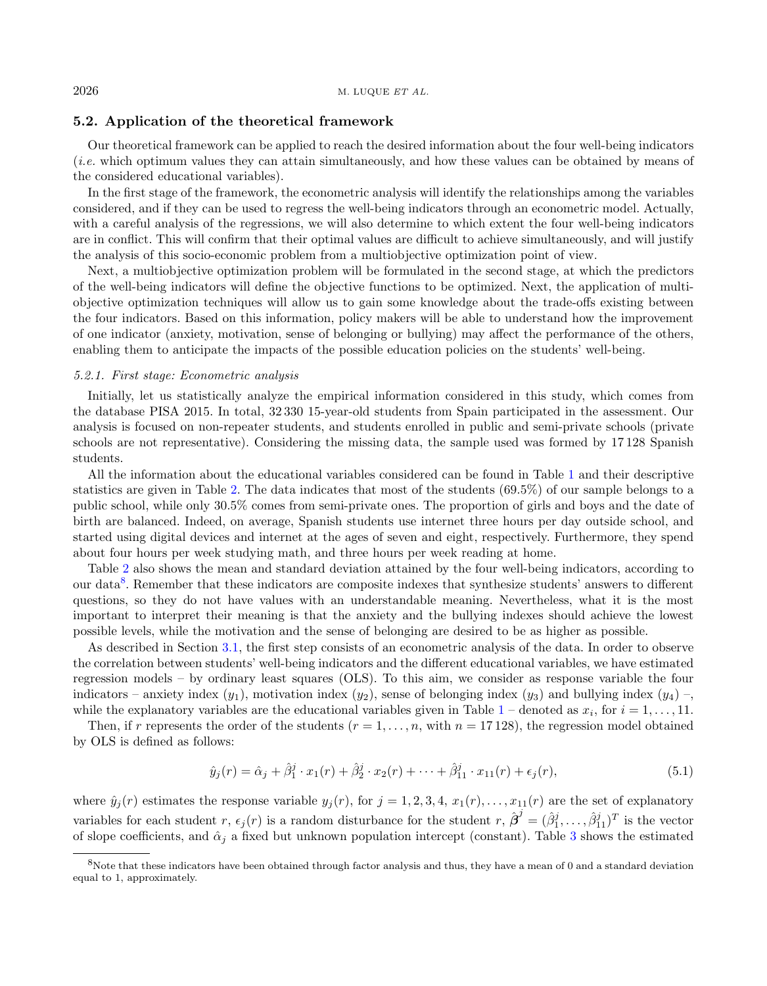## 5.2. Application of the theoretical framework

Our theoretical framework can be applied to reach the desired information about the four well-being indicators (i.e. which optimum values they can attain simultaneously, and how these values can be obtained by means of the considered educational variables).

In the first stage of the framework, the econometric analysis will identify the relationships among the variables considered, and if they can be used to regress the well-being indicators through an econometric model. Actually, with a careful analysis of the regressions, we will also determine to which extent the four well-being indicators are in conflict. This will confirm that their optimal values are difficult to achieve simultaneously, and will justify the analysis of this socio-economic problem from a multiobjective optimization point of view.

Next, a multiobjective optimization problem will be formulated in the second stage, at which the predictors of the well-being indicators will define the objective functions to be optimized. Next, the application of multiobjective optimization techniques will allow us to gain some knowledge about the trade-offs existing between the four indicators. Based on this information, policy makers will be able to understand how the improvement of one indicator (anxiety, motivation, sense of belonging or bullying) may affect the performance of the others, enabling them to anticipate the impacts of the possible education policies on the students' well-being.

## 5.2.1. First stage: Econometric analysis

Initially, let us statistically analyze the empirical information considered in this study, which comes from the database PISA 2015. In total, 32 330 15-year-old students from Spain participated in the assessment. Our analysis is focused on non-repeater students, and students enrolled in public and semi-private schools (private schools are not representative). Considering the missing data, the sample used was formed by 17 128 Spanish students.

All the information about the educational variables considered can be found in Table [1](#page-12-0) and their descriptive statistics are given in Table [2.](#page-13-0) The data indicates that most of the students (69.5%) of our sample belongs to a public school, while only 30.5% comes from semi-private ones. The proportion of girls and boys and the date of birth are balanced. Indeed, on average, Spanish students use internet three hours per day outside school, and started using digital devices and internet at the ages of seven and eight, respectively. Furthermore, they spend about four hours per week studying math, and three hours per week reading at home.

Table [2](#page-13-0) also shows the mean and standard deviation attained by the four well-being indicators, according to our data<sup>[8](#page-11-0)</sup>. Remember that these indicators are composite indexes that synthesize students' answers to different questions, so they do not have values with an understandable meaning. Nevertheless, what it is the most important to interpret their meaning is that the anxiety and the bullying indexes should achieve the lowest possible levels, while the motivation and the sense of belonging are desired to be as higher as possible.

<span id="page-11-0"></span>As described in Section [3.1,](#page-4-0) the first step consists of an econometric analysis of the data. In order to observe the correlation between students' well-being indicators and the different educational variables, we have estimated regression models – by ordinary least squares (OLS). To this aim, we consider as response variable the four indicators – anxiety index  $(y_1)$ , motivation index  $(y_2)$ , sense of belonging index  $(y_3)$  and bullying index  $(y_4)$  –, while the explanatory variables are the educational variables given in Table  $1$  – denoted as  $x_i$ , for  $i = 1, \ldots, 11$ .

Then, if r represents the order of the students  $(r = 1, \ldots, n$ , with  $n = 17128$ ), the regression model obtained by OLS is defined as follows:

<span id="page-11-1"></span>
$$
\hat{y}_j(r) = \hat{\alpha}_j + \hat{\beta}_1^j \cdot x_1(r) + \hat{\beta}_2^j \cdot x_2(r) + \dots + \hat{\beta}_{11}^j \cdot x_{11}(r) + \epsilon_j(r),\tag{5.1}
$$

where  $\hat{y}_i(r)$  estimates the response variable  $y_i(r)$ , for  $j = 1, 2, 3, 4, x_1(r), \ldots, x_{11}(r)$  are the set of explanatory variables for each student r,  $\epsilon_j(r)$  is a random disturbance for the student r,  $\hat{\boldsymbol{\beta}}^j = (\hat{\beta}_1^j, \ldots, \hat{\beta}_{11}^j)^T$  is the vector of slope coefficients, and  $\hat{\alpha}_i$  a fixed but unknown population intercept (constant). Table [3](#page-14-0) shows the estimated

<sup>8</sup>Note that these indicators have been obtained through factor analysis and thus, they have a mean of 0 and a standard deviation equal to 1, approximately.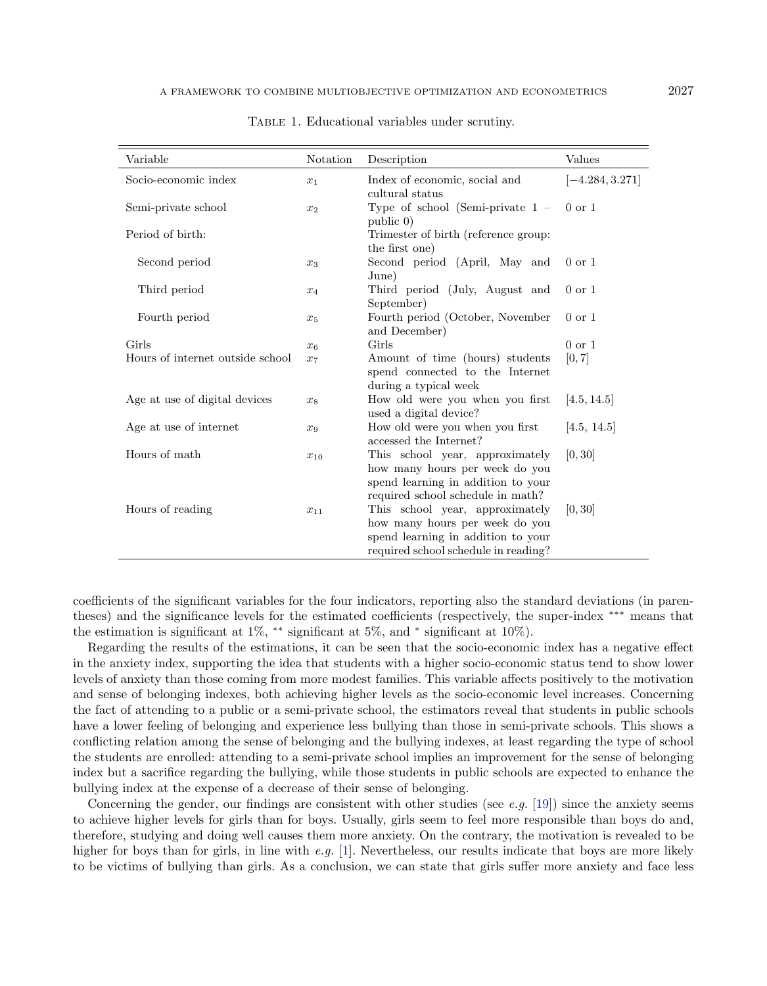| Variable                         | Notation | Description                                                                                                                                                                          | Values            |
|----------------------------------|----------|--------------------------------------------------------------------------------------------------------------------------------------------------------------------------------------|-------------------|
| Socio-economic index             | $x_1$    | Index of economic, social and<br>cultural status                                                                                                                                     | $[-4.284, 3.271]$ |
| Semi-private school              | $x_2$    | Type of school (Semi-private $1 -$<br>public 0)                                                                                                                                      | $0 \text{ or } 1$ |
| Period of birth:                 |          | Trimester of birth (reference group:<br>the first one)                                                                                                                               |                   |
| Second period                    | $x_3$    | Second period (April, May and<br>June)                                                                                                                                               | $0 \text{ or } 1$ |
| Third period                     | $x_4$    | Third period (July, August and<br>September)                                                                                                                                         | $0 \text{ or } 1$ |
| Fourth period                    | $x_5$    | Fourth period (October, November<br>and December)                                                                                                                                    | $0 \text{ or } 1$ |
| Girls                            | $x_6$    | Girls                                                                                                                                                                                | $0 \text{ or } 1$ |
| Hours of internet outside school | $x_7$    | Amount of time (hours) students<br>spend connected to the Internet<br>during a typical week                                                                                          | [0, 7]            |
| Age at use of digital devices    | $x_8$    | How old were you when you first<br>used a digital device?                                                                                                                            | [4.5, 14.5]       |
| Age at use of internet           | $x_9$    | How old were you when you first<br>accessed the Internet?                                                                                                                            | [4.5, 14.5]       |
| Hours of math                    | $x_{10}$ | This school year, approximately<br>how many hours per week do you<br>spend learning in addition to your                                                                              | [0, 30]           |
| Hours of reading                 | $x_{11}$ | required school schedule in math?<br>This school year, approximately<br>how many hours per week do you<br>spend learning in addition to your<br>required school schedule in reading? | [0, 30]           |

<span id="page-12-0"></span>Table 1. Educational variables under scrutiny.

coefficients of the significant variables for the four indicators, reporting also the standard deviations (in parentheses) and the significance levels for the estimated coefficients (respectively, the super-index \*\*\* means that the estimation is significant at 1%, \*\* significant at 5%, and \* significant at 10%).

Regarding the results of the estimations, it can be seen that the socio-economic index has a negative effect in the anxiety index, supporting the idea that students with a higher socio-economic status tend to show lower levels of anxiety than those coming from more modest families. This variable affects positively to the motivation and sense of belonging indexes, both achieving higher levels as the socio-economic level increases. Concerning the fact of attending to a public or a semi-private school, the estimators reveal that students in public schools have a lower feeling of belonging and experience less bullying than those in semi-private schools. This shows a conflicting relation among the sense of belonging and the bullying indexes, at least regarding the type of school the students are enrolled: attending to a semi-private school implies an improvement for the sense of belonging index but a sacrifice regarding the bullying, while those students in public schools are expected to enhance the bullying index at the expense of a decrease of their sense of belonging.

Concerning the gender, our findings are consistent with other studies (see e.g.  $[19]$ ) since the anxiety seems to achieve higher levels for girls than for boys. Usually, girls seem to feel more responsible than boys do and, therefore, studying and doing well causes them more anxiety. On the contrary, the motivation is revealed to be higher for boys than for girls, in line with e.g. [\[1\]](#page-19-15). Nevertheless, our results indicate that boys are more likely to be victims of bullying than girls. As a conclusion, we can state that girls suffer more anxiety and face less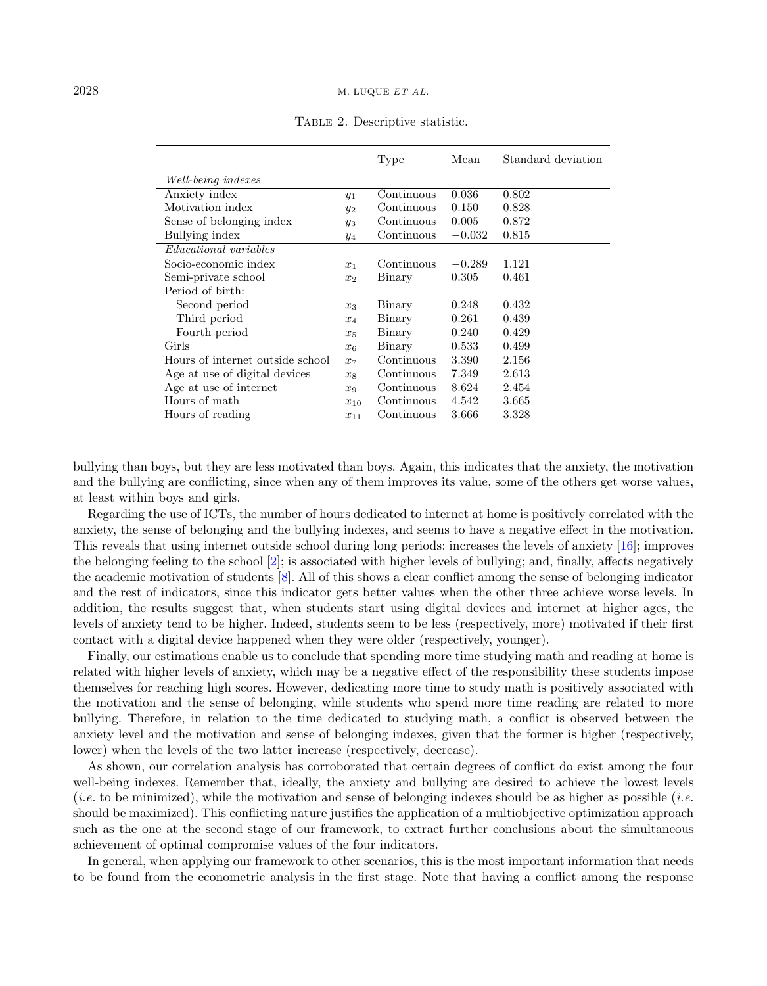#### $2028$  M. LUQUE *ET AL.*

|                                  |          | Type       | Mean     | Standard deviation |
|----------------------------------|----------|------------|----------|--------------------|
| Well-being indexes               |          |            |          |                    |
| Anxiety index                    | $y_1$    | Continuous | 0.036    | 0.802              |
| Motivation index                 | $y_2$    | Continuous | 0.150    | 0.828              |
| Sense of belonging index         | $y_3$    | Continuous | 0.005    | 0.872              |
| Bullying index                   | $y_4$    | Continuous | $-0.032$ | 0.815              |
| <i>Educational variables</i>     |          |            |          |                    |
| Socio-economic index             | $x_1$    | Continuous | $-0.289$ | 1.121              |
| Semi-private school              | $x_2$    | Binary     | 0.305    | 0.461              |
| Period of birth:                 |          |            |          |                    |
| Second period                    | $x_3$    | Binary     | 0.248    | 0.432              |
| Third period                     | $x_4$    | Binary     | 0.261    | 0.439              |
| Fourth period                    | $x_5$    | Binary     | 0.240    | 0.429              |
| Girls                            | $x_6$    | Binary     | 0.533    | 0.499              |
| Hours of internet outside school | $x_7$    | Continuous | 3.390    | 2.156              |
| Age at use of digital devices    | $x_8$    | Continuous | 7.349    | 2.613              |
| Age at use of internet           | $x_9$    | Continuous | 8.624    | 2.454              |
| Hours of math                    | $x_{10}$ | Continuous | 4.542    | 3.665              |
| Hours of reading                 | $x_{11}$ | Continuous | 3.666    | 3.328              |

<span id="page-13-0"></span>Table 2. Descriptive statistic.

bullying than boys, but they are less motivated than boys. Again, this indicates that the anxiety, the motivation and the bullying are conflicting, since when any of them improves its value, some of the others get worse values, at least within boys and girls.

Regarding the use of ICTs, the number of hours dedicated to internet at home is positively correlated with the anxiety, the sense of belonging and the bullying indexes, and seems to have a negative effect in the motivation. This reveals that using internet outside school during long periods: increases the levels of anxiety [\[16\]](#page-19-14); improves the belonging feeling to the school [\[2\]](#page-19-16); is associated with higher levels of bullying; and, finally, affects negatively the academic motivation of students [\[8\]](#page-19-17). All of this shows a clear conflict among the sense of belonging indicator and the rest of indicators, since this indicator gets better values when the other three achieve worse levels. In addition, the results suggest that, when students start using digital devices and internet at higher ages, the levels of anxiety tend to be higher. Indeed, students seem to be less (respectively, more) motivated if their first contact with a digital device happened when they were older (respectively, younger).

Finally, our estimations enable us to conclude that spending more time studying math and reading at home is related with higher levels of anxiety, which may be a negative effect of the responsibility these students impose themselves for reaching high scores. However, dedicating more time to study math is positively associated with the motivation and the sense of belonging, while students who spend more time reading are related to more bullying. Therefore, in relation to the time dedicated to studying math, a conflict is observed between the anxiety level and the motivation and sense of belonging indexes, given that the former is higher (respectively, lower) when the levels of the two latter increase (respectively, decrease).

As shown, our correlation analysis has corroborated that certain degrees of conflict do exist among the four well-being indexes. Remember that, ideally, the anxiety and bullying are desired to achieve the lowest levels (*i.e.* to be minimized), while the motivation and sense of belonging indexes should be as higher as possible (*i.e.* should be maximized). This conflicting nature justifies the application of a multiobjective optimization approach such as the one at the second stage of our framework, to extract further conclusions about the simultaneous achievement of optimal compromise values of the four indicators.

In general, when applying our framework to other scenarios, this is the most important information that needs to be found from the econometric analysis in the first stage. Note that having a conflict among the response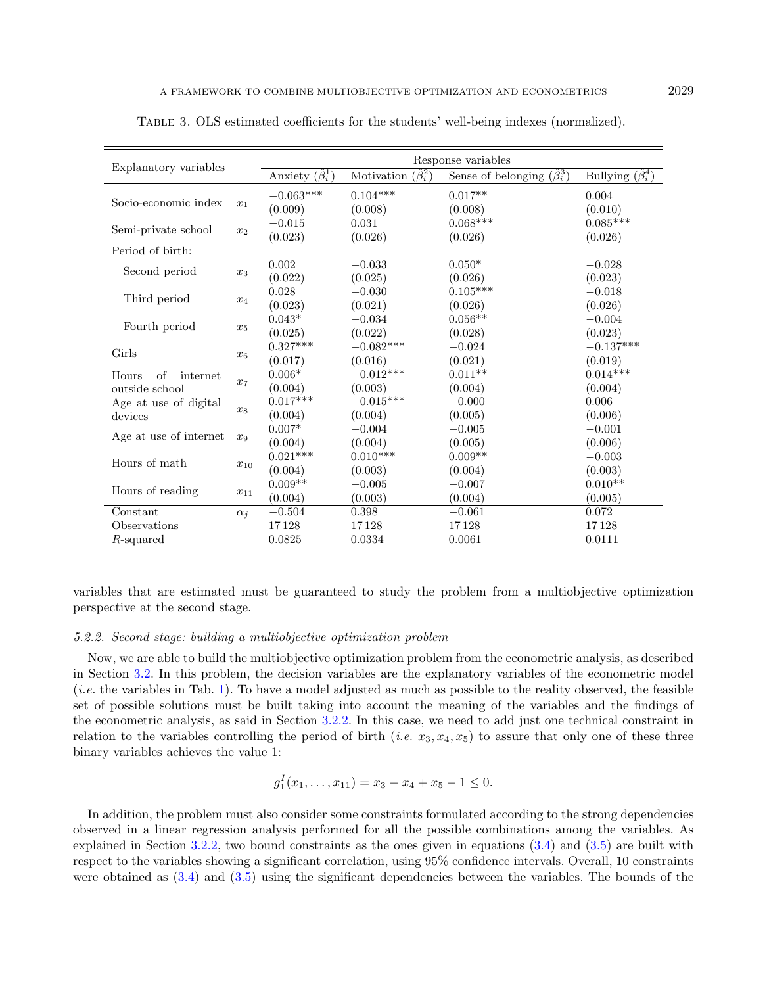| Explanatory variables         |            | Response variables          |                                |                                        |                              |  |  |
|-------------------------------|------------|-----------------------------|--------------------------------|----------------------------------------|------------------------------|--|--|
|                               |            | Anxiety $(\hat{\beta}_i^1)$ | Motivation $(\hat{\beta}_i^2)$ | Sense of belonging $(\hat{\beta}_i^3)$ | Bullying $(\hat{\beta}_i^4)$ |  |  |
|                               |            | $-0.063***$                 | $0.104***$                     | $0.017**$                              | 0.004                        |  |  |
| Socio-economic index<br>$x_1$ |            | (0.009)                     | (0.008)                        | (0.008)                                | (0.010)                      |  |  |
|                               |            | $-0.015$                    | 0.031                          | $0.068***$                             | $0.085***$                   |  |  |
| Semi-private school           | $x_2$      | (0.023)                     | (0.026)                        | (0.026)                                | (0.026)                      |  |  |
| Period of birth:              |            |                             |                                |                                        |                              |  |  |
|                               |            | 0.002                       | $-0.033$                       | $0.050*$                               | $-0.028$                     |  |  |
| Second period                 | $x_3$      | (0.022)                     | (0.025)                        | (0.026)                                | (0.023)                      |  |  |
|                               |            | 0.028                       | $-0.030$                       | $0.105***$                             | $-0.018$                     |  |  |
| Third period                  | $x_4$      | (0.023)                     | (0.021)                        | (0.026)                                | (0.026)                      |  |  |
|                               |            | $0.043*$                    | $-0.034$                       | $0.056**$                              | $-0.004$                     |  |  |
| Fourth period                 | $x_5$      | (0.025)                     | (0.022)                        | (0.028)                                | (0.023)                      |  |  |
| Girls                         |            | $0.327***$                  | $-0.082***$                    | $-0.024$                               | $-0.137***$                  |  |  |
|                               | $x_6$      | (0.017)                     | (0.016)                        | (0.021)                                | (0.019)                      |  |  |
| of<br>Hours<br>internet       |            | $0.006*$                    | $-0.012***$                    | $0.011**$                              | $0.014***$                   |  |  |
| outside school                | $x_7$      | (0.004)                     | (0.003)                        | (0.004)                                | (0.004)                      |  |  |
| Age at use of digital         |            | $0.017***$                  | $-0.015***$                    | $-0.000$                               | 0.006                        |  |  |
| devices                       | $x_8$      | (0.004)                     | (0.004)                        | (0.005)                                | (0.006)                      |  |  |
|                               |            | $0.007*$                    | $-0.004$                       | $-0.005$                               | $-0.001$                     |  |  |
| Age at use of internet        | $x_9$      | (0.004)                     | (0.004)                        | (0.005)                                | (0.006)                      |  |  |
| Hours of math                 |            | $0.021***$                  | $0.010***$                     | $0.009**$                              | $-0.003$                     |  |  |
|                               | $x_{10}$   | (0.004)                     | (0.003)                        | (0.004)                                | (0.003)                      |  |  |
| Hours of reading              | $x_{11}$   | $0.009**$                   | $-0.005$                       | $-0.007$                               | $0.010**$                    |  |  |
|                               |            | (0.004)                     | (0.003)                        | (0.004)                                | (0.005)                      |  |  |
| Constant                      | $\alpha_i$ | $-0.504$                    | 0.398                          | $-0.061$                               | 0.072                        |  |  |
| Observations                  |            | 17128                       | 17128                          | 17128                                  | 17128                        |  |  |
| $R$ -squared                  |            | 0.0825                      | 0.0334                         | 0.0061                                 | 0.0111                       |  |  |

<span id="page-14-0"></span>Table 3. OLS estimated coefficients for the students' well-being indexes (normalized).

variables that are estimated must be guaranteed to study the problem from a multiobjective optimization perspective at the second stage.

## 5.2.2. Second stage: building a multiobjective optimization problem

Now, we are able to build the multiobjective optimization problem from the econometric analysis, as described in Section [3.2.](#page-4-1) In this problem, the decision variables are the explanatory variables of the econometric model  $(i.e.$  the variables in Tab. [1\)](#page-12-0). To have a model adjusted as much as possible to the reality observed, the feasible set of possible solutions must be built taking into account the meaning of the variables and the findings of the econometric analysis, as said in Section [3.2.2.](#page-5-3) In this case, we need to add just one technical constraint in relation to the variables controlling the period of birth (*i.e.*  $x_3, x_4, x_5$ ) to assure that only one of these three binary variables achieves the value 1:

$$
g_1^I(x_1,\ldots,x_{11})=x_3+x_4+x_5-1\leq 0.
$$

In addition, the problem must also consider some constraints formulated according to the strong dependencies observed in a linear regression analysis performed for all the possible combinations among the variables. As explained in Section [3.2.2,](#page-5-3) two bound constraints as the ones given in equations [\(3.4\)](#page-6-0) and [\(3.5\)](#page-6-1) are built with respect to the variables showing a significant correlation, using 95% confidence intervals. Overall, 10 constraints were obtained as [\(3.4\)](#page-6-0) and [\(3.5\)](#page-6-1) using the significant dependencies between the variables. The bounds of the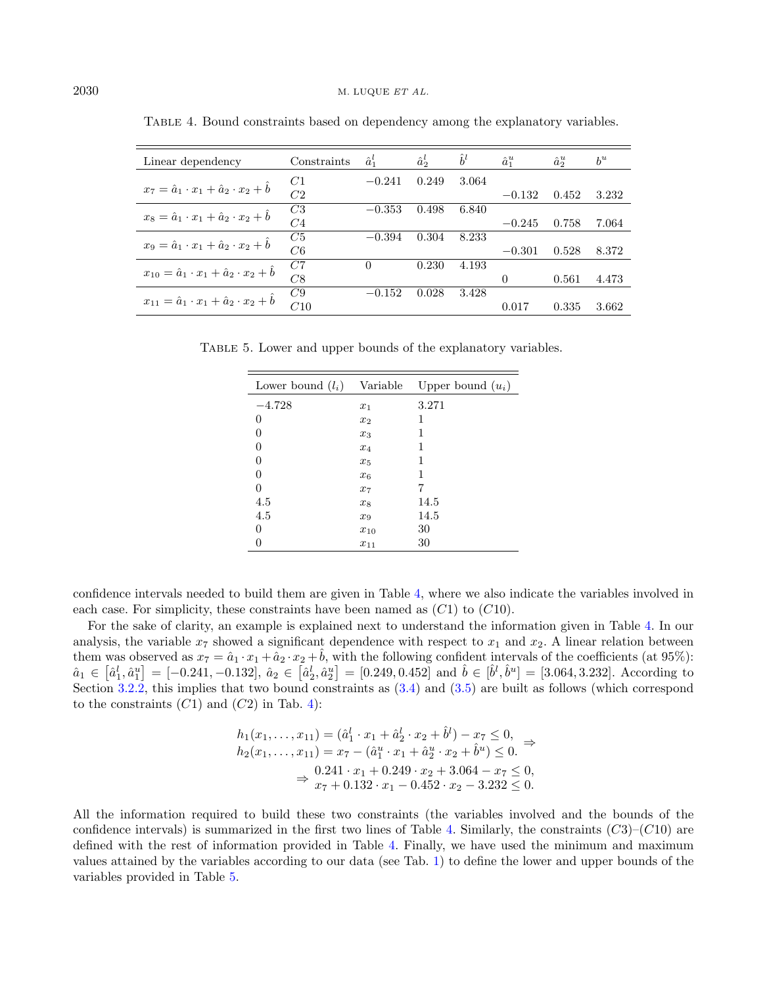| Linear dependency                                              | Constraints    | $\hat{a}_1^l$ | $\hat{a}^l_2$ | $h^l$ | $\hat{a}_1^u$ | $\hat{a}^u$ | $b^u$ |
|----------------------------------------------------------------|----------------|---------------|---------------|-------|---------------|-------------|-------|
| $x_7 = \hat{a}_1 \cdot x_1 + \hat{a}_2 \cdot x_2 + b$          | C1             | $-0.241$      | 0.249         | 3.064 |               |             |       |
|                                                                | C <sub>2</sub> |               |               |       | $-0.132$      | 0.452       | 3.232 |
|                                                                | C3             | $-0.353$      | 0.498         | 6.840 |               |             |       |
| $x_8 = \hat{a}_1 \cdot x_1 + \hat{a}_2 \cdot x_2 + b$          | C <sub>4</sub> |               |               |       | $-0.245$      | 0.758       | 7.064 |
|                                                                | C5             | $-0.394$      | 0.304         | 8.233 |               |             |       |
| $x_9 = \hat{a}_1 \cdot x_1 + \hat{a}_2 \cdot x_2 + b$          | C6             |               |               |       | $-0.301$      | 0.528       | 8.372 |
| $x_{10} = \hat{a}_1 \cdot x_1 + \hat{a}_2 \cdot x_2 + b$       | C7             | 0             | 0.230         | 4.193 |               |             |       |
|                                                                | C8             |               |               |       | $\Omega$      | 0.561       | 4.473 |
| $x_{11} = \hat{a}_1 \cdot x_1 + \hat{a}_2 \cdot x_2 + \hat{b}$ | C9             | $-0.152$      | 0.028         | 3.428 |               |             |       |
|                                                                | C10            |               |               |       | 0.017         | 0.335       | 3.662 |

<span id="page-15-1"></span><span id="page-15-0"></span>Table 4. Bound constraints based on dependency among the explanatory variables.

TABLE 5. Lower and upper bounds of the explanatory variables.

| Lower bound $(l_i)$ | Variable | Upper bound $(u_i)$ |
|---------------------|----------|---------------------|
| $-4.728$            | $x_1$    | 3.271               |
| 0                   | $x_2$    | 1                   |
| 0                   | $x_3$    | 1                   |
| 0                   | $x_4$    | 1                   |
| 0                   | $x_{5}$  | 1                   |
| 0                   | $x_6$    | 1                   |
| 0                   | $x_7$    | 7                   |
| 4.5                 | $x_8$    | 14.5                |
| 4.5                 | $x_{9}$  | 14.5                |
| 0                   | $x_{10}$ | 30                  |
| 0                   | $x_{11}$ | 30                  |

confidence intervals needed to build them are given in Table [4,](#page-15-0) where we also indicate the variables involved in each case. For simplicity, these constraints have been named as  $(C1)$  to  $(C10)$ .

For the sake of clarity, an example is explained next to understand the information given in Table [4.](#page-15-0) In our analysis, the variable  $x_7$  showed a significant dependence with respect to  $x_1$  and  $x_2$ . A linear relation between them was observed as  $x_7 = \hat{a}_1 \cdot x_1 + \hat{a}_2 \cdot x_2 + \hat{b}$ , with the following confident intervals of the coefficients (at 95%):  $\hat{a}_1 \in \left[\hat{a}_1^l, \hat{a}_1^u\right] = [-0.241, -0.132], \, \hat{a}_2 \in \left[\hat{a}_2^l, \hat{a}_2^u\right] = [0.249, 0.452] \text{ and } \hat{b} \in \left[\hat{b}^l, \hat{b}^u\right] = [3.064, 3.232]. \text{ According to } \hat{a}_1 \in \left[\hat{a}_1^l, \hat{a}_2^u\right] = [-0.241, -0.132], \, \hat{a}_2 \in \left[\hat{a}_2^l, \hat{a}_2^u\$ Section [3.2.2,](#page-5-3) this implies that two bound constraints as [\(3.4\)](#page-6-0) and [\(3.5\)](#page-6-1) are built as follows (which correspond to the constraints  $(C1)$  and  $(C2)$  in Tab. [4\)](#page-15-0):

$$
h_1(x_1, \ldots, x_{11}) = (\hat{a}_1^l \cdot x_1 + \hat{a}_2^l \cdot x_2 + \hat{b}^l) - x_7 \le 0,
$$
  
\n
$$
h_2(x_1, \ldots, x_{11}) = x_7 - (\hat{a}_1^u \cdot x_1 + \hat{a}_2^u \cdot x_2 + \hat{b}^u) \le 0.
$$
  
\n
$$
\Rightarrow \frac{0.241 \cdot x_1 + 0.249 \cdot x_2 + 3.064 - x_7 \le 0}{x_7 + 0.132 \cdot x_1 - 0.452 \cdot x_2 - 3.232 \le 0}.
$$

All the information required to build these two constraints (the variables involved and the bounds of the confidence intervals) is summarized in the first two lines of Table [4.](#page-15-0) Similarly, the constraints  $(C3)$ – $(C10)$  are defined with the rest of information provided in Table [4.](#page-15-0) Finally, we have used the minimum and maximum values attained by the variables according to our data (see Tab. [1\)](#page-12-0) to define the lower and upper bounds of the variables provided in Table [5.](#page-15-1)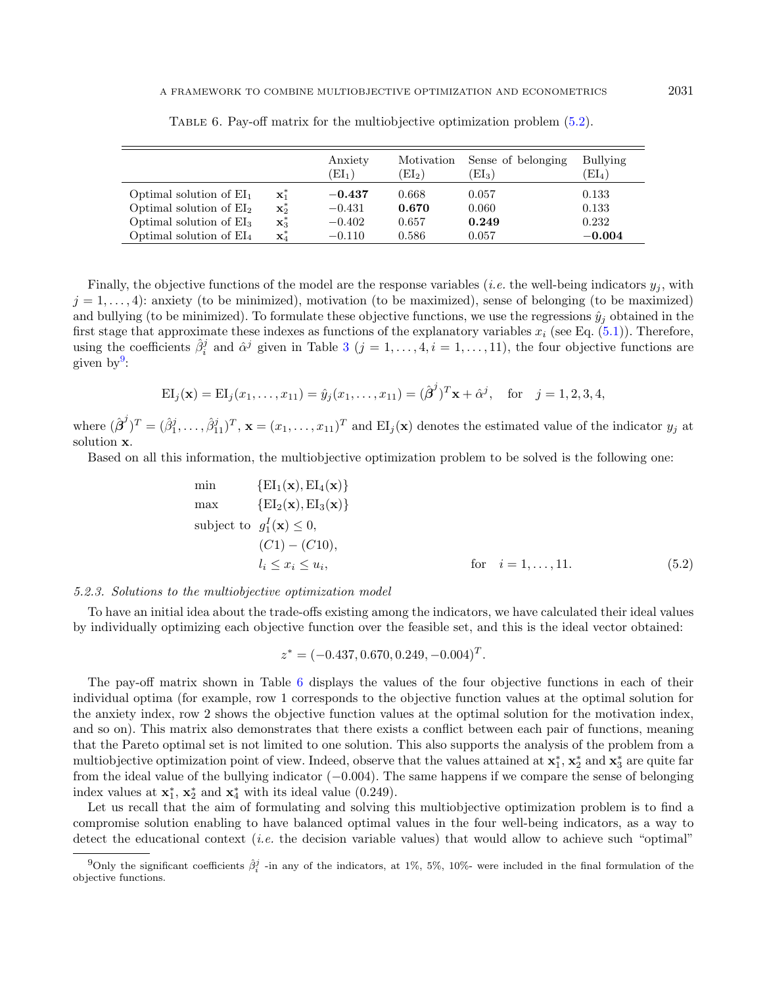|                            |                  | Anxiety<br>$\left( \mathrm{EI}_{1}\right)$ | Motivation<br>$\mathrm{[EI_{2})}$ | Sense of belonging<br>$\left(\mathrm{EI}_3\right)$ | Bullying<br>$\left( \mathrm{EI}_{4}\right)$ |
|----------------------------|------------------|--------------------------------------------|-----------------------------------|----------------------------------------------------|---------------------------------------------|
| Optimal solution of $EI_1$ | $\mathbf{x}_1^*$ | $-0.437$                                   | 0.668                             | 0.057                                              | 0.133                                       |
| Optimal solution of $EI2$  | $\mathbf{x}_2^*$ | $-0.431$                                   | 0.670                             | 0.060                                              | 0.133                                       |
| Optimal solution of $EI3$  | $\mathbf{x}_3^*$ | $-0.402$                                   | 0.657                             | 0.249                                              | 0.232                                       |
| Optimal solution of $EI_4$ | $\mathbf{x}_4^*$ | $-0.110$                                   | 0.586                             | 0.057                                              | $-0.004$                                    |

<span id="page-16-2"></span>Table 6. Pay-off matrix for the multiobjective optimization problem [\(5.2\)](#page-16-0).

Finally, the objective functions of the model are the response variables (*i.e.* the well-being indicators  $y_j$ , with  $j = 1, \ldots, 4$ : anxiety (to be minimized), motivation (to be maximized), sense of belonging (to be maximized) and bullying (to be minimized). To formulate these objective functions, we use the regressions  $\hat{y}_i$  obtained in the first stage that approximate these indexes as functions of the explanatory variables  $x_i$  (see Eq. [\(5.1\)](#page-11-1)). Therefore, using the coefficients  $\hat{\beta}_i^j$  and  $\hat{\alpha}^j$  given in Table [3](#page-14-0)  $(j = 1, \ldots, 4, i = 1, \ldots, 11)$ , the four objective functions are given by<sup>[9](#page-16-1)</sup>:

$$
EI_j(\mathbf{x}) = EI_j(x_1, \dots, x_{11}) = \hat{y}_j(x_1, \dots, x_{11}) = (\hat{\boldsymbol{\beta}}^j)^T \mathbf{x} + \hat{\alpha}^j, \text{ for } j = 1, 2, 3, 4,
$$

where  $(\hat{\boldsymbol{\beta}}^j)^T = (\hat{\beta}_1^j, \ldots, \hat{\beta}_{11}^j)^T$ ,  $\mathbf{x} = (x_1, \ldots, x_{11})^T$  and  $\mathrm{EI}_j(\mathbf{x})$  denotes the estimated value of the indicator  $y_j$  at solution x.

Based on all this information, the multiobjective optimization problem to be solved is the following one:

$$
\min \{EI_1(\mathbf{x}), EI_4(\mathbf{x})\}
$$
\n
$$
\max \{EI_2(\mathbf{x}), EI_3(\mathbf{x})\}
$$
\n
$$
\text{subject to } g_1^I(\mathbf{x}) \le 0,
$$
\n
$$
(C1) - (C10),
$$
\n
$$
l_i \le x_i \le u_i,
$$
\nfor  $i = 1, ..., 11.$ \n(5.2)

## 5.2.3. Solutions to the multiobjective optimization model

To have an initial idea about the trade-offs existing among the indicators, we have calculated their ideal values by individually optimizing each objective function over the feasible set, and this is the ideal vector obtained:

<span id="page-16-0"></span>
$$
z^* = (-0.437, 0.670, 0.249, -0.004)^T.
$$

<span id="page-16-1"></span>The pay-off matrix shown in Table [6](#page-16-2) displays the values of the four objective functions in each of their individual optima (for example, row 1 corresponds to the objective function values at the optimal solution for the anxiety index, row 2 shows the objective function values at the optimal solution for the motivation index, and so on). This matrix also demonstrates that there exists a conflict between each pair of functions, meaning that the Pareto optimal set is not limited to one solution. This also supports the analysis of the problem from a multiobjective optimization point of view. Indeed, observe that the values attained at  $x_1^*, x_2^*$  and  $x_3^*$  are quite far from the ideal value of the bullying indicator (−0.004). The same happens if we compare the sense of belonging index values at  $\mathbf{x}_1^*$ ,  $\mathbf{x}_2^*$  and  $\mathbf{x}_4^*$  with its ideal value (0.249).

Let us recall that the aim of formulating and solving this multiobjective optimization problem is to find a compromise solution enabling to have balanced optimal values in the four well-being indicators, as a way to detect the educational context *(i.e.* the decision variable values) that would allow to achieve such "optimal"

<sup>&</sup>lt;sup>9</sup>Only the significant coefficients  $\hat{\beta}_i^j$  -in any of the indicators, at 1%, 5%, 10%- were included in the final formulation of the objective functions.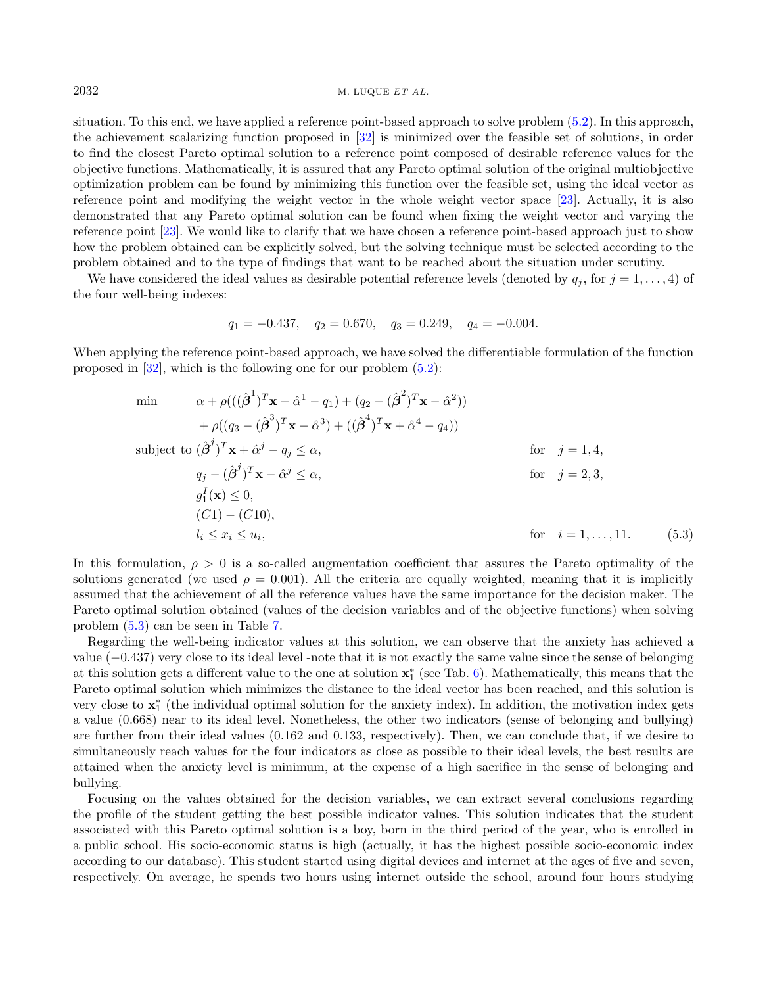## $2032$  M. LUQUE *ET AL.*

situation. To this end, we have applied a reference point-based approach to solve problem [\(5.2\)](#page-16-0). In this approach, the achievement scalarizing function proposed in [\[32\]](#page-20-13) is minimized over the feasible set of solutions, in order to find the closest Pareto optimal solution to a reference point composed of desirable reference values for the objective functions. Mathematically, it is assured that any Pareto optimal solution of the original multiobjective optimization problem can be found by minimizing this function over the feasible set, using the ideal vector as reference point and modifying the weight vector in the whole weight vector space [\[23\]](#page-20-4). Actually, it is also demonstrated that any Pareto optimal solution can be found when fixing the weight vector and varying the reference point [\[23\]](#page-20-4). We would like to clarify that we have chosen a reference point-based approach just to show how the problem obtained can be explicitly solved, but the solving technique must be selected according to the problem obtained and to the type of findings that want to be reached about the situation under scrutiny.

We have considered the ideal values as desirable potential reference levels (denoted by  $q_j$ , for  $j = 1, \ldots, 4$ ) of the four well-being indexes:

<span id="page-17-0"></span>
$$
q_1 = -0.437
$$
,  $q_2 = 0.670$ ,  $q_3 = 0.249$ ,  $q_4 = -0.004$ .

When applying the reference point-based approach, we have solved the differentiable formulation of the function proposed in [\[32\]](#page-20-13), which is the following one for our problem [\(5.2\)](#page-16-0):

$$
\begin{aligned}\n\min \qquad & \alpha + \rho(((\hat{\beta}^1)^T \mathbf{x} + \hat{\alpha}^1 - q_1) + (q_2 - (\hat{\beta}^2)^T \mathbf{x} - \hat{\alpha}^2)) \\
& + \rho((q_3 - (\hat{\beta}^3)^T \mathbf{x} - \hat{\alpha}^3) + ((\hat{\beta}^4)^T \mathbf{x} + \hat{\alpha}^4 - q_4)) \\
\text{subject to } & (\hat{\beta}^j)^T \mathbf{x} + \hat{\alpha}^j - q_j \le \alpha, \qquad \text{for} \quad j = 1, 4, \\
& q_j - (\hat{\beta}^j)^T \mathbf{x} - \hat{\alpha}^j \le \alpha, \qquad \text{for} \quad j = 2, 3, \\
& g_1^I(\mathbf{x}) \le 0, \\
& (C1) - (C10), \\
& l_i \le x_i \le u_i, \qquad \text{for} \quad i = 1, \dots, 11. \qquad (5.3)\n\end{aligned}
$$

In this formulation,  $\rho > 0$  is a so-called augmentation coefficient that assures the Pareto optimality of the solutions generated (we used  $\rho = 0.001$ ). All the criteria are equally weighted, meaning that it is implicitly assumed that the achievement of all the reference values have the same importance for the decision maker. The Pareto optimal solution obtained (values of the decision variables and of the objective functions) when solving problem [\(5.3\)](#page-17-0) can be seen in Table [7.](#page-18-1)

Regarding the well-being indicator values at this solution, we can observe that the anxiety has achieved a value (−0.437) very close to its ideal level -note that it is not exactly the same value since the sense of belonging at this solution gets a different value to the one at solution  $x_1^*$  (see Tab. [6\)](#page-16-2). Mathematically, this means that the Pareto optimal solution which minimizes the distance to the ideal vector has been reached, and this solution is very close to  $x_1^*$  (the individual optimal solution for the anxiety index). In addition, the motivation index gets a value (0.668) near to its ideal level. Nonetheless, the other two indicators (sense of belonging and bullying) are further from their ideal values (0.162 and 0.133, respectively). Then, we can conclude that, if we desire to simultaneously reach values for the four indicators as close as possible to their ideal levels, the best results are attained when the anxiety level is minimum, at the expense of a high sacrifice in the sense of belonging and bullying.

Focusing on the values obtained for the decision variables, we can extract several conclusions regarding the profile of the student getting the best possible indicator values. This solution indicates that the student associated with this Pareto optimal solution is a boy, born in the third period of the year, who is enrolled in a public school. His socio-economic status is high (actually, it has the highest possible socio-economic index according to our database). This student started using digital devices and internet at the ages of five and seven, respectively. On average, he spends two hours using internet outside the school, around four hours studying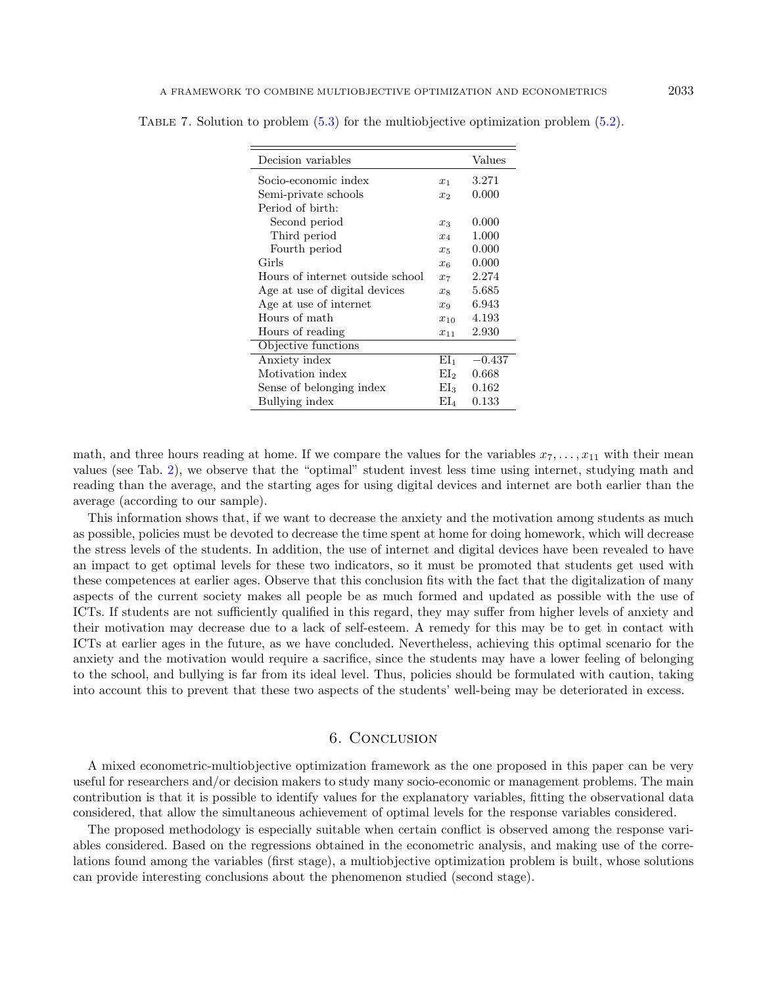| Decision variables               |                 | Values   |
|----------------------------------|-----------------|----------|
| Socio-economic index             | $x_1$           | 3.271    |
| Semi-private schools             | x <sub>2</sub>  | 0.000    |
| Period of birth:                 |                 |          |
| Second period                    | $x_3$           | 0.000    |
| Third period                     | $x_4$           | 1.000    |
| Fourth period                    | $x_5$           | 0.000    |
| Girls                            | $x_{6}$         | 0.000    |
| Hours of internet outside school | $x_7$           | 2.274    |
| Age at use of digital devices    | $x_{8}$         | 5.685    |
| Age at use of internet           | $x_9$           | 6.943    |
| Hours of math                    | $x_{10}$        | 4.193    |
| Hours of reading                 | $x_{11}$        | 2.930    |
| Objective functions              |                 |          |
| Anxiety index                    | EI1             | $-0.437$ |
| Motivation index                 | EI <sub>2</sub> | 0.668    |
| Sense of belonging index         | EI <sub>3</sub> | 0.162    |
| Bullying index                   | $EL_4$          | 0.133    |

<span id="page-18-1"></span>TABLE 7. Solution to problem  $(5.3)$  for the multiobjective optimization problem  $(5.2)$ .

math, and three hours reading at home. If we compare the values for the variables  $x_7, \ldots, x_{11}$  with their mean values (see Tab. [2\)](#page-13-0), we observe that the "optimal" student invest less time using internet, studying math and reading than the average, and the starting ages for using digital devices and internet are both earlier than the average (according to our sample).

This information shows that, if we want to decrease the anxiety and the motivation among students as much as possible, policies must be devoted to decrease the time spent at home for doing homework, which will decrease the stress levels of the students. In addition, the use of internet and digital devices have been revealed to have an impact to get optimal levels for these two indicators, so it must be promoted that students get used with these competences at earlier ages. Observe that this conclusion fits with the fact that the digitalization of many aspects of the current society makes all people be as much formed and updated as possible with the use of ICTs. If students are not sufficiently qualified in this regard, they may suffer from higher levels of anxiety and their motivation may decrease due to a lack of self-esteem. A remedy for this may be to get in contact with ICTs at earlier ages in the future, as we have concluded. Nevertheless, achieving this optimal scenario for the anxiety and the motivation would require a sacrifice, since the students may have a lower feeling of belonging to the school, and bullying is far from its ideal level. Thus, policies should be formulated with caution, taking into account this to prevent that these two aspects of the students' well-being may be deteriorated in excess.

## 6. Conclusion

<span id="page-18-0"></span>A mixed econometric-multiobjective optimization framework as the one proposed in this paper can be very useful for researchers and/or decision makers to study many socio-economic or management problems. The main contribution is that it is possible to identify values for the explanatory variables, fitting the observational data considered, that allow the simultaneous achievement of optimal levels for the response variables considered.

The proposed methodology is especially suitable when certain conflict is observed among the response variables considered. Based on the regressions obtained in the econometric analysis, and making use of the correlations found among the variables (first stage), a multiobjective optimization problem is built, whose solutions can provide interesting conclusions about the phenomenon studied (second stage).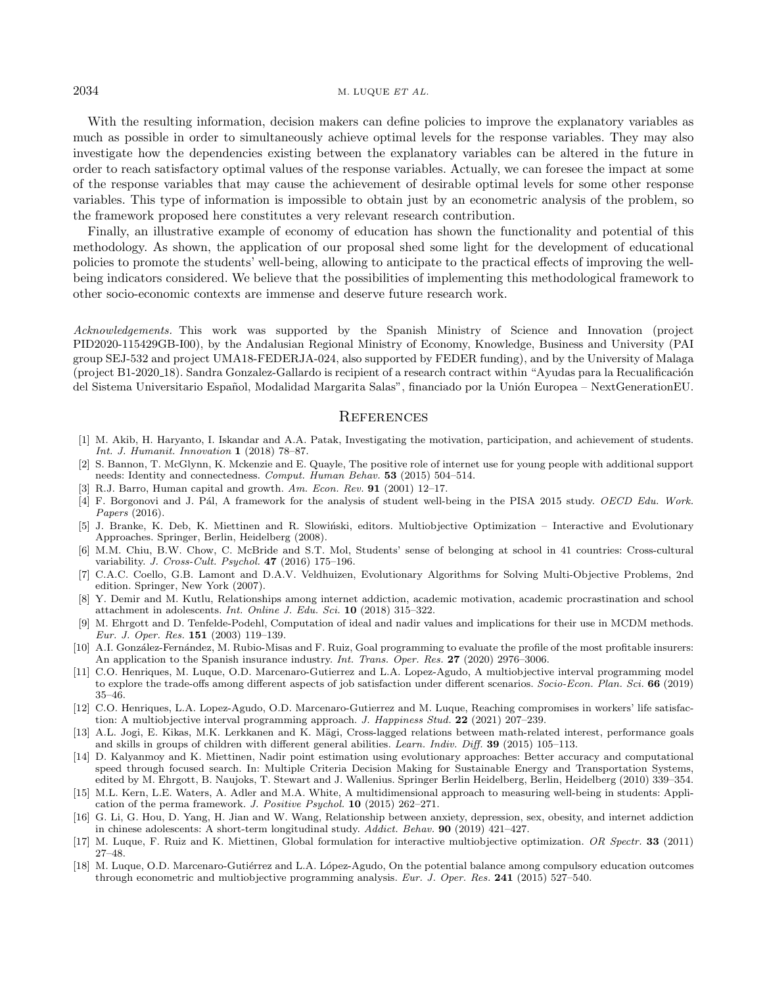#### $2034$  M. LUQUE *ET AL.*

With the resulting information, decision makers can define policies to improve the explanatory variables as much as possible in order to simultaneously achieve optimal levels for the response variables. They may also investigate how the dependencies existing between the explanatory variables can be altered in the future in order to reach satisfactory optimal values of the response variables. Actually, we can foresee the impact at some of the response variables that may cause the achievement of desirable optimal levels for some other response variables. This type of information is impossible to obtain just by an econometric analysis of the problem, so the framework proposed here constitutes a very relevant research contribution.

<span id="page-19-16"></span><span id="page-19-15"></span>Finally, an illustrative example of economy of education has shown the functionality and potential of this methodology. As shown, the application of our proposal shed some light for the development of educational policies to promote the students' well-being, allowing to anticipate to the practical effects of improving the wellbeing indicators considered. We believe that the possibilities of implementing this methodological framework to other socio-economic contexts are immense and deserve future research work.

<span id="page-19-12"></span><span id="page-19-10"></span><span id="page-19-9"></span><span id="page-19-8"></span>Acknowledgements. This work was supported by the Spanish Ministry of Science and Innovation (project PID2020-115429GB-I00), by the Andalusian Regional Ministry of Economy, Knowledge, Business and University (PAI group SEJ-532 and project UMA18-FEDERJA-024, also supported by FEDER funding), and by the University of Malaga (project B1-2020\_18). Sandra Gonzalez-Gallardo is recipient of a research contract within "Ayudas para la Recualificación" del Sistema Universitario Español, Modalidad Margarita Salas", financiado por la Unión Europea – NextGenerationEU.

## **REFERENCES**

- <span id="page-19-17"></span><span id="page-19-6"></span><span id="page-19-4"></span>[1] M. Akib, H. Haryanto, I. Iskandar and A.A. Patak, Investigating the motivation, participation, and achievement of students. Int. J. Humanit. Innovation 1 (2018) 78–87.
- <span id="page-19-2"></span>[2] S. Bannon, T. McGlynn, K. Mckenzie and E. Quayle, The positive role of internet use for young people with additional support needs: Identity and connectedness. Comput. Human Behav. 53 (2015) 504–514.
- <span id="page-19-1"></span>[3] R.J. Barro, Human capital and growth. Am. Econ. Rev. **91** (2001) 12-17.
- [4] F. Borgonovi and J. Pál, A framework for the analysis of student well-being in the PISA 2015 study. OECD Edu. Work. Papers (2016).
- <span id="page-19-3"></span>[5] J. Branke, K. Deb, K. Miettinen and R. Slowiński, editors. Multiobjective Optimization – Interactive and Evolutionary Approaches. Springer, Berlin, Heidelberg (2008).
- <span id="page-19-13"></span>[6] M.M. Chiu, B.W. Chow, C. McBride and S.T. Mol, Students' sense of belonging at school in 41 countries: Cross-cultural variability. J. Cross-Cult. Psychol. 47 (2016) 175–196.
- <span id="page-19-5"></span>[7] C.A.C. Coello, G.B. Lamont and D.A.V. Veldhuizen, Evolutionary Algorithms for Solving Multi-Objective Problems, 2nd edition. Springer, New York (2007).
- <span id="page-19-11"></span>[8] Y. Demir and M. Kutlu, Relationships among internet addiction, academic motivation, academic procrastination and school attachment in adolescents. Int. Online J. Edu. Sci. 10 (2018) 315–322.
- <span id="page-19-14"></span>[9] M. Ehrgott and D. Tenfelde-Podehl, Computation of ideal and nadir values and implications for their use in MCDM methods. Eur. J. Oper. Res. 151 (2003) 119–139.
- <span id="page-19-7"></span>[10] A.I. González-Fernández, M. Rubio-Misas and F. Ruiz, Goal programming to evaluate the profile of the most profitable insurers: An application to the Spanish insurance industry. *Int. Trans. Oper. Res.* 27 (2020) 2976–3006.
- <span id="page-19-0"></span>[11] C.O. Henriques, M. Luque, O.D. Marcenaro-Gutierrez and L.A. Lopez-Agudo, A multiobjective interval programming model to explore the trade-offs among different aspects of job satisfaction under different scenarios. Socio-Econ. Plan. Sci. 66 (2019) 35–46.
- [12] C.O. Henriques, L.A. Lopez-Agudo, O.D. Marcenaro-Gutierrez and M. Luque, Reaching compromises in workers' life satisfaction: A multiobjective interval programming approach. J. Happiness Stud. 22 (2021) 207–239.
- [13] A.L. Jogi, E. Kikas, M.K. Lerkkanen and K. Mägi, Cross-lagged relations between math-related interest, performance goals and skills in groups of children with different general abilities. Learn. Indiv. Diff. 39 (2015) 105–113.
- [14] D. Kalyanmoy and K. Miettinen, Nadir point estimation using evolutionary approaches: Better accuracy and computational speed through focused search. In: Multiple Criteria Decision Making for Sustainable Energy and Transportation Systems, edited by M. Ehrgott, B. Naujoks, T. Stewart and J. Wallenius. Springer Berlin Heidelberg, Berlin, Heidelberg (2010) 339–354.
- [15] M.L. Kern, L.E. Waters, A. Adler and M.A. White, A multidimensional approach to measuring well-being in students: Application of the perma framework. J. Positive Psychol. 10 (2015) 262–271.
- [16] G. Li, G. Hou, D. Yang, H. Jian and W. Wang, Relationship between anxiety, depression, sex, obesity, and internet addiction in chinese adolescents: A short-term longitudinal study. Addict. Behav. 90 (2019) 421–427.
- [17] M. Luque, F. Ruiz and K. Miettinen, Global formulation for interactive multiobjective optimization. OR Spectr. 33 (2011) 27–48.
- [18] M. Luque, O.D. Marcenaro-Gutiérrez and L.A. López-Agudo, On the potential balance among compulsory education outcomes through econometric and multiobjective programming analysis. Eur. J. Oper. Res. 241 (2015) 527–540.